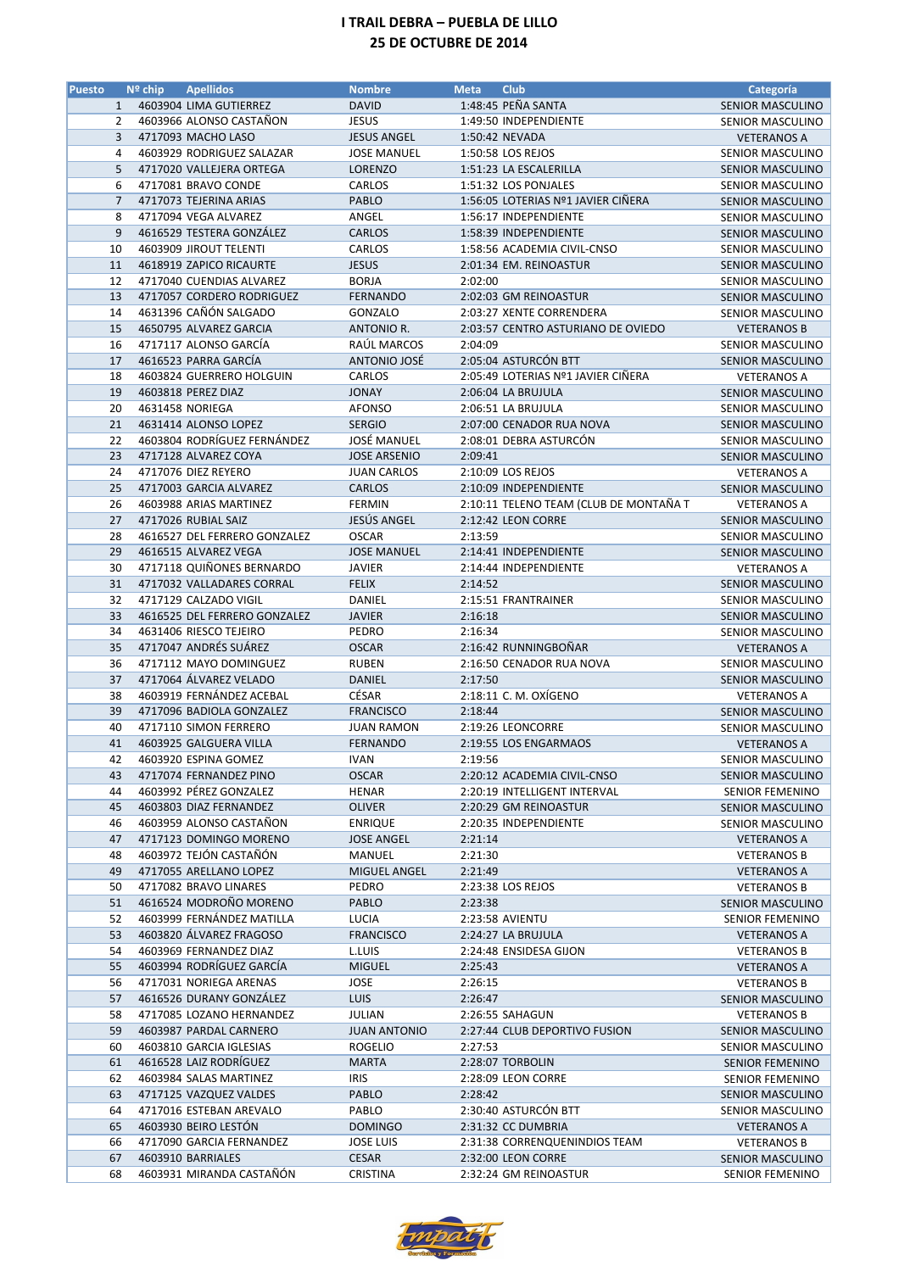| 1:48:45 PEÑA SANTA<br>4603904 LIMA GUTIERREZ<br><b>DAVID</b><br>$\mathbf{1}$<br><b>SENIOR MASCULINO</b><br>$\overline{2}$<br>4603966 ALONSO CASTAÑON<br><b>JESUS</b><br>1:49:50 INDEPENDIENTE<br>SENIOR MASCULINO<br>3<br>4717093 MACHO LASO<br><b>JESUS ANGEL</b><br>1:50:42 NEVADA<br><b>VETERANOS A</b><br>4603929 RODRIGUEZ SALAZAR<br><b>JOSE MANUEL</b><br>1:50:58 LOS REJOS<br>SENIOR MASCULINO<br>4<br>5<br>4717020 VALLEJERA ORTEGA<br><b>LORENZO</b><br>1:51:23 LA ESCALERILLA<br><b>SENIOR MASCULINO</b><br>6<br>4717081 BRAVO CONDE<br>CARLOS<br>1:51:32 LOS PONJALES<br><b>SENIOR MASCULINO</b><br>$\overline{7}$<br>4717073 TEJERINA ARIAS<br>PABLO<br>1:56:05 LOTERIAS Nº1 JAVIER CIÑERA<br><b>SENIOR MASCULINO</b><br>8<br>4717094 VEGA ALVAREZ<br>ANGEL<br>1:56:17 INDEPENDIENTE<br>SENIOR MASCULINO<br>9<br>4616529 TESTERA GONZÁLEZ<br><b>CARLOS</b><br>1:58:39 INDEPENDIENTE<br><b>SENIOR MASCULINO</b><br>10<br>4603909 JIROUT TELENTI<br>CARLOS<br>SENIOR MASCULINO<br>1:58:56 ACADEMIA CIVIL-CNSO<br>4618919 ZAPICO RICAURTE<br><b>JESUS</b><br>2:01:34 EM. REINOASTUR<br>11<br><b>SENIOR MASCULINO</b><br>12<br>4717040 CUENDIAS ALVAREZ<br><b>BORJA</b><br>2:02:00<br>SENIOR MASCULINO<br>13<br>4717057 CORDERO RODRIGUEZ<br><b>FERNANDO</b><br>2:02:03 GM REINOASTUR<br><b>SENIOR MASCULINO</b><br>4631396 CAÑÓN SALGADO<br>14<br>GONZALO<br>2:03:27 XENTE CORRENDERA<br>SENIOR MASCULINO<br>15<br>4650795 ALVAREZ GARCIA<br>2:03:57 CENTRO ASTURIANO DE OVIEDO<br>ANTONIO R.<br><b>VETERANOS B</b><br>RAÚL MARCOS<br>16<br>4717117 ALONSO GARCÍA<br>2:04:09<br>SENIOR MASCULINO<br>2:05:04 ASTURCÓN BTT<br>17<br>4616523 PARRA GARCÍA<br>ANTONIO JOSÉ<br><b>SENIOR MASCULINO</b><br>4603824 GUERRERO HOLGUIN<br>CARLOS<br>2:05:49 LOTERIAS Nº1 JAVIER CIÑERA<br>18<br><b>VETERANOS A</b><br>19<br>4603818 PEREZ DIAZ<br><b>JONAY</b><br>2:06:04 LA BRUJULA<br><b>SENIOR MASCULINO</b><br>20<br>4631458 NORIEGA<br><b>AFONSO</b><br>2:06:51 LA BRUJULA<br>SENIOR MASCULINO<br>21<br>4631414 ALONSO LOPEZ<br><b>SERGIO</b><br>2:07:00 CENADOR RUA NOVA<br><b>SENIOR MASCULINO</b><br>4603804 RODRÍGUEZ FERNÁNDEZ<br><b>JOSÉ MANUEL</b><br>22<br>2:08:01 DEBRA ASTURCÓN<br><b>SENIOR MASCULINO</b><br>23<br>4717128 ALVAREZ COYA<br><b>JOSE ARSENIO</b><br>2:09:41<br><b>SENIOR MASCULINO</b><br>24<br>4717076 DIEZ REYERO<br><b>JUAN CARLOS</b><br>2:10:09 LOS REJOS<br><b>VETERANOS A</b><br>25<br>4717003 GARCIA ALVAREZ<br><b>CARLOS</b><br>2:10:09 INDEPENDIENTE<br><b>SENIOR MASCULINO</b><br>4603988 ARIAS MARTINEZ<br>2:10:11 TELENO TEAM (CLUB DE MONTAÑA T<br>26<br><b>FERMIN</b><br><b>VETERANOS A</b><br>JESÚS ANGEL<br>27<br>4717026 RUBIAL SAIZ<br>2:12:42 LEON CORRE<br><b>SENIOR MASCULINO</b><br>28<br>4616527 DEL FERRERO GONZALEZ<br><b>OSCAR</b><br>2:13:59<br>SENIOR MASCULINO<br>29<br>4616515 ALVAREZ VEGA<br><b>JOSE MANUEL</b><br>2:14:41 INDEPENDIENTE<br><b>SENIOR MASCULINO</b><br>4717118 QUIÑONES BERNARDO<br>30<br><b>JAVIER</b><br>2:14:44 INDEPENDIENTE<br><b>VETERANOS A</b><br>31<br>4717032 VALLADARES CORRAL<br><b>FELIX</b><br>2:14:52<br>SENIOR MASCULINO<br>32<br>4717129 CALZADO VIGIL<br>DANIEL<br>2:15:51 FRANTRAINER<br>SENIOR MASCULINO<br>33<br>4616525 DEL FERRERO GONZALEZ<br><b>JAVIER</b><br>2:16:18<br><b>SENIOR MASCULINO</b><br>4631406 RIESCO TEJEIRO<br>34<br>PEDRO<br>2:16:34<br><b>SENIOR MASCULINO</b><br>35<br>4717047 ANDRÉS SUÁREZ<br>2:16:42 RUNNINGBOÑAR<br><b>OSCAR</b><br><b>VETERANOS A</b><br>36<br>4717112 MAYO DOMINGUEZ<br><b>RUBEN</b><br>2:16:50 CENADOR RUA NOVA<br>SENIOR MASCULINO<br>4717064 ÁLVAREZ VELADO<br>37<br><b>DANIEL</b><br>2:17:50<br>SENIOR MASCULINO<br>4603919 FERNÁNDEZ ACEBAL<br>CÉSAR<br>38<br>2:18:11 C. M. OXIGENO<br><b>VETERANOS A</b><br>39<br>4717096 BADIOLA GONZALEZ<br><b>FRANCISCO</b><br>2:18:44<br>SENIOR MASCULINO<br>40<br>4717110 SIMON FERRERO<br><b>JUAN RAMON</b><br>2:19:26 LEONCORRE<br>SENIOR MASCULINO<br>41<br>4603925 GALGUERA VILLA<br>2:19:55 LOS ENGARMAOS<br><b>FERNANDO</b><br><b>VETERANOS A</b><br>42<br><b>IVAN</b><br>2:19:56<br>4603920 ESPINA GOMEZ<br>SENIOR MASCULINO<br>43<br>4717074 FERNANDEZ PINO<br><b>OSCAR</b><br>2:20:12 ACADEMIA CIVIL-CNSO<br>SENIOR MASCULINO<br>44<br>4603992 PÉREZ GONZALEZ<br><b>HENAR</b><br>2:20:19 INTELLIGENT INTERVAL<br><b>SENIOR FEMENINO</b><br>4603803 DIAZ FERNANDEZ<br>2:20:29 GM REINOASTUR<br>45<br><b>OLIVER</b><br><b>SENIOR MASCULINO</b><br>4603959 ALONSO CASTAÑON<br>46<br><b>ENRIQUE</b><br>2:20:35 INDEPENDIENTE<br>SENIOR MASCULINO<br>4717123 DOMINGO MORENO<br><b>JOSE ANGEL</b><br>2:21:14<br>47<br><b>VETERANOS A</b><br>4603972 TEJÓN CASTAÑÓN<br>48<br>MANUEL<br>2:21:30<br><b>VETERANOS B</b><br>4717055 ARELLANO LOPEZ<br>2:21:49<br>49<br><b>MIGUEL ANGEL</b><br><b>VETERANOS A</b><br>4717082 BRAVO LINARES<br>50<br>PEDRO<br>2:23:38 LOS REJOS<br><b>VETERANOS B</b><br>4616524 MODROÑO MORENO<br>PABLO<br>2:23:38<br>51<br><b>SENIOR MASCULINO</b><br>4603999 FERNÁNDEZ MATILLA<br>2:23:58 AVIENTU<br>52<br>LUCIA<br><b>SENIOR FEMENINO</b><br>4603820 ÁLVAREZ FRAGOSO<br>2:24:27 LA BRUJULA<br>53<br><b>FRANCISCO</b><br><b>VETERANOS A</b><br>4603969 FERNANDEZ DIAZ<br>54<br>L.LUIS<br>2:24:48 ENSIDESA GIJON<br><b>VETERANOS B</b><br>4603994 RODRÍGUEZ GARCÍA<br>55<br><b>MIGUEL</b><br>2:25:43<br><b>VETERANOS A</b><br>4717031 NORIEGA ARENAS<br>JOSE<br>56<br>2:26:15<br><b>VETERANOS B</b><br>4616526 DURANY GONZÁLEZ<br>2:26:47<br>57<br><b>LUIS</b><br>SENIOR MASCULINO<br>4717085 LOZANO HERNANDEZ<br>2:26:55 SAHAGUN<br>58<br>JULIAN<br><b>VETERANOS B</b><br>4603987 PARDAL CARNERO<br>59<br><b>JUAN ANTONIO</b><br>2:27:44 CLUB DEPORTIVO FUSION<br>SENIOR MASCULINO<br>4603810 GARCIA IGLESIAS<br>2:27:53<br>60<br><b>ROGELIO</b><br>SENIOR MASCULINO<br>4616528 LAIZ RODRÍGUEZ<br>61<br><b>MARTA</b><br>2:28:07 TORBOLIN<br><b>SENIOR FEMENINO</b><br>4603984 SALAS MARTINEZ<br>2:28:09 LEON CORRE<br>62<br>IRIS<br><b>SENIOR FEMENINO</b><br>4717125 VAZQUEZ VALDES<br>2:28:42<br>63<br>PABLO<br>SENIOR MASCULINO<br>2:30:40 ASTURCÓN BTT<br>4717016 ESTEBAN AREVALO<br>64<br>PABLO<br>SENIOR MASCULINO<br>4603930 BEIRO LESTÓN<br>2:31:32 CC DUMBRIA<br>65<br><b>DOMINGO</b><br><b>VETERANOS A</b><br>66<br>4717090 GARCIA FERNANDEZ<br><b>JOSE LUIS</b><br>2:31:38 CORRENQUENINDIOS TEAM<br><b>VETERANOS B</b><br>67<br>4603910 BARRIALES<br>CESAR<br>2:32:00 LEON CORRE<br>SENIOR MASCULINO<br>4603931 MIRANDA CASTAÑÓN<br><b>CRISTINA</b><br>68<br>2:32:24 GM REINOASTUR<br><b>SENIOR FEMENINO</b> | <b>Puesto</b> | $No$ chip | <b>Apellidos</b> | <b>Nombre</b> | <b>Meta</b> | <b>Club</b> | Categoría |
|----------------------------------------------------------------------------------------------------------------------------------------------------------------------------------------------------------------------------------------------------------------------------------------------------------------------------------------------------------------------------------------------------------------------------------------------------------------------------------------------------------------------------------------------------------------------------------------------------------------------------------------------------------------------------------------------------------------------------------------------------------------------------------------------------------------------------------------------------------------------------------------------------------------------------------------------------------------------------------------------------------------------------------------------------------------------------------------------------------------------------------------------------------------------------------------------------------------------------------------------------------------------------------------------------------------------------------------------------------------------------------------------------------------------------------------------------------------------------------------------------------------------------------------------------------------------------------------------------------------------------------------------------------------------------------------------------------------------------------------------------------------------------------------------------------------------------------------------------------------------------------------------------------------------------------------------------------------------------------------------------------------------------------------------------------------------------------------------------------------------------------------------------------------------------------------------------------------------------------------------------------------------------------------------------------------------------------------------------------------------------------------------------------------------------------------------------------------------------------------------------------------------------------------------------------------------------------------------------------------------------------------------------------------------------------------------------------------------------------------------------------------------------------------------------------------------------------------------------------------------------------------------------------------------------------------------------------------------------------------------------------------------------------------------------------------------------------------------------------------------------------------------------------------------------------------------------------------------------------------------------------------------------------------------------------------------------------------------------------------------------------------------------------------------------------------------------------------------------------------------------------------------------------------------------------------------------------------------------------------------------------------------------------------------------------------------------------------------------------------------------------------------------------------------------------------------------------------------------------------------------------------------------------------------------------------------------------------------------------------------------------------------------------------------------------------------------------------------------------------------------------------------------------------------------------------------------------------------------------------------------------------------------------------------------------------------------------------------------------------------------------------------------------------------------------------------------------------------------------------------------------------------------------------------------------------------------------------------------------------------------------------------------------------------------------------------------------------------------------------------------------------------------------------------------------------------------------------------------------------------------------------------------------------------------------------------------------------------------------------------------------------------------------------------------------------------------------------------------------------------------------------------------------------------------------------------------------------------------------------------------------------------------------------------------------------------------------------------------------------------------------------------------------------------------------------------------------------------------------------------------------------------------------------------------------------------------------------------------------------------------------------------------------------------------------------------------------------------------------------------------------------------------------------------------------------------------------------------------------------------------------------------------------------------------------------------------------------------------------------------------------------------------------------------------------------------------------------------------------------------------------------------------------------------------------------------------------------------------------------------------------------------------------------------------------------------------------------------------------------------------------------------------------------------------------------------------------------------------------------------------------------------------------------------------|---------------|-----------|------------------|---------------|-------------|-------------|-----------|
|                                                                                                                                                                                                                                                                                                                                                                                                                                                                                                                                                                                                                                                                                                                                                                                                                                                                                                                                                                                                                                                                                                                                                                                                                                                                                                                                                                                                                                                                                                                                                                                                                                                                                                                                                                                                                                                                                                                                                                                                                                                                                                                                                                                                                                                                                                                                                                                                                                                                                                                                                                                                                                                                                                                                                                                                                                                                                                                                                                                                                                                                                                                                                                                                                                                                                                                                                                                                                                                                                                                                                                                                                                                                                                                                                                                                                                                                                                                                                                                                                                                                                                                                                                                                                                                                                                                                                                                                                                                                                                                                                                                                                                                                                                                                                                                                                                                                                                                                                                                                                                                                                                                                                                                                                                                                                                                                                                                                                                                                                                                                                                                                                                                                                                                                                                                                                                                                                                                                                                                                                                                                                                                                                                                                                                                                                                                                                                                                                                                                                                                                                    |               |           |                  |               |             |             |           |
|                                                                                                                                                                                                                                                                                                                                                                                                                                                                                                                                                                                                                                                                                                                                                                                                                                                                                                                                                                                                                                                                                                                                                                                                                                                                                                                                                                                                                                                                                                                                                                                                                                                                                                                                                                                                                                                                                                                                                                                                                                                                                                                                                                                                                                                                                                                                                                                                                                                                                                                                                                                                                                                                                                                                                                                                                                                                                                                                                                                                                                                                                                                                                                                                                                                                                                                                                                                                                                                                                                                                                                                                                                                                                                                                                                                                                                                                                                                                                                                                                                                                                                                                                                                                                                                                                                                                                                                                                                                                                                                                                                                                                                                                                                                                                                                                                                                                                                                                                                                                                                                                                                                                                                                                                                                                                                                                                                                                                                                                                                                                                                                                                                                                                                                                                                                                                                                                                                                                                                                                                                                                                                                                                                                                                                                                                                                                                                                                                                                                                                                                                    |               |           |                  |               |             |             |           |
|                                                                                                                                                                                                                                                                                                                                                                                                                                                                                                                                                                                                                                                                                                                                                                                                                                                                                                                                                                                                                                                                                                                                                                                                                                                                                                                                                                                                                                                                                                                                                                                                                                                                                                                                                                                                                                                                                                                                                                                                                                                                                                                                                                                                                                                                                                                                                                                                                                                                                                                                                                                                                                                                                                                                                                                                                                                                                                                                                                                                                                                                                                                                                                                                                                                                                                                                                                                                                                                                                                                                                                                                                                                                                                                                                                                                                                                                                                                                                                                                                                                                                                                                                                                                                                                                                                                                                                                                                                                                                                                                                                                                                                                                                                                                                                                                                                                                                                                                                                                                                                                                                                                                                                                                                                                                                                                                                                                                                                                                                                                                                                                                                                                                                                                                                                                                                                                                                                                                                                                                                                                                                                                                                                                                                                                                                                                                                                                                                                                                                                                                                    |               |           |                  |               |             |             |           |
|                                                                                                                                                                                                                                                                                                                                                                                                                                                                                                                                                                                                                                                                                                                                                                                                                                                                                                                                                                                                                                                                                                                                                                                                                                                                                                                                                                                                                                                                                                                                                                                                                                                                                                                                                                                                                                                                                                                                                                                                                                                                                                                                                                                                                                                                                                                                                                                                                                                                                                                                                                                                                                                                                                                                                                                                                                                                                                                                                                                                                                                                                                                                                                                                                                                                                                                                                                                                                                                                                                                                                                                                                                                                                                                                                                                                                                                                                                                                                                                                                                                                                                                                                                                                                                                                                                                                                                                                                                                                                                                                                                                                                                                                                                                                                                                                                                                                                                                                                                                                                                                                                                                                                                                                                                                                                                                                                                                                                                                                                                                                                                                                                                                                                                                                                                                                                                                                                                                                                                                                                                                                                                                                                                                                                                                                                                                                                                                                                                                                                                                                                    |               |           |                  |               |             |             |           |
|                                                                                                                                                                                                                                                                                                                                                                                                                                                                                                                                                                                                                                                                                                                                                                                                                                                                                                                                                                                                                                                                                                                                                                                                                                                                                                                                                                                                                                                                                                                                                                                                                                                                                                                                                                                                                                                                                                                                                                                                                                                                                                                                                                                                                                                                                                                                                                                                                                                                                                                                                                                                                                                                                                                                                                                                                                                                                                                                                                                                                                                                                                                                                                                                                                                                                                                                                                                                                                                                                                                                                                                                                                                                                                                                                                                                                                                                                                                                                                                                                                                                                                                                                                                                                                                                                                                                                                                                                                                                                                                                                                                                                                                                                                                                                                                                                                                                                                                                                                                                                                                                                                                                                                                                                                                                                                                                                                                                                                                                                                                                                                                                                                                                                                                                                                                                                                                                                                                                                                                                                                                                                                                                                                                                                                                                                                                                                                                                                                                                                                                                                    |               |           |                  |               |             |             |           |
|                                                                                                                                                                                                                                                                                                                                                                                                                                                                                                                                                                                                                                                                                                                                                                                                                                                                                                                                                                                                                                                                                                                                                                                                                                                                                                                                                                                                                                                                                                                                                                                                                                                                                                                                                                                                                                                                                                                                                                                                                                                                                                                                                                                                                                                                                                                                                                                                                                                                                                                                                                                                                                                                                                                                                                                                                                                                                                                                                                                                                                                                                                                                                                                                                                                                                                                                                                                                                                                                                                                                                                                                                                                                                                                                                                                                                                                                                                                                                                                                                                                                                                                                                                                                                                                                                                                                                                                                                                                                                                                                                                                                                                                                                                                                                                                                                                                                                                                                                                                                                                                                                                                                                                                                                                                                                                                                                                                                                                                                                                                                                                                                                                                                                                                                                                                                                                                                                                                                                                                                                                                                                                                                                                                                                                                                                                                                                                                                                                                                                                                                                    |               |           |                  |               |             |             |           |
|                                                                                                                                                                                                                                                                                                                                                                                                                                                                                                                                                                                                                                                                                                                                                                                                                                                                                                                                                                                                                                                                                                                                                                                                                                                                                                                                                                                                                                                                                                                                                                                                                                                                                                                                                                                                                                                                                                                                                                                                                                                                                                                                                                                                                                                                                                                                                                                                                                                                                                                                                                                                                                                                                                                                                                                                                                                                                                                                                                                                                                                                                                                                                                                                                                                                                                                                                                                                                                                                                                                                                                                                                                                                                                                                                                                                                                                                                                                                                                                                                                                                                                                                                                                                                                                                                                                                                                                                                                                                                                                                                                                                                                                                                                                                                                                                                                                                                                                                                                                                                                                                                                                                                                                                                                                                                                                                                                                                                                                                                                                                                                                                                                                                                                                                                                                                                                                                                                                                                                                                                                                                                                                                                                                                                                                                                                                                                                                                                                                                                                                                                    |               |           |                  |               |             |             |           |
|                                                                                                                                                                                                                                                                                                                                                                                                                                                                                                                                                                                                                                                                                                                                                                                                                                                                                                                                                                                                                                                                                                                                                                                                                                                                                                                                                                                                                                                                                                                                                                                                                                                                                                                                                                                                                                                                                                                                                                                                                                                                                                                                                                                                                                                                                                                                                                                                                                                                                                                                                                                                                                                                                                                                                                                                                                                                                                                                                                                                                                                                                                                                                                                                                                                                                                                                                                                                                                                                                                                                                                                                                                                                                                                                                                                                                                                                                                                                                                                                                                                                                                                                                                                                                                                                                                                                                                                                                                                                                                                                                                                                                                                                                                                                                                                                                                                                                                                                                                                                                                                                                                                                                                                                                                                                                                                                                                                                                                                                                                                                                                                                                                                                                                                                                                                                                                                                                                                                                                                                                                                                                                                                                                                                                                                                                                                                                                                                                                                                                                                                                    |               |           |                  |               |             |             |           |
|                                                                                                                                                                                                                                                                                                                                                                                                                                                                                                                                                                                                                                                                                                                                                                                                                                                                                                                                                                                                                                                                                                                                                                                                                                                                                                                                                                                                                                                                                                                                                                                                                                                                                                                                                                                                                                                                                                                                                                                                                                                                                                                                                                                                                                                                                                                                                                                                                                                                                                                                                                                                                                                                                                                                                                                                                                                                                                                                                                                                                                                                                                                                                                                                                                                                                                                                                                                                                                                                                                                                                                                                                                                                                                                                                                                                                                                                                                                                                                                                                                                                                                                                                                                                                                                                                                                                                                                                                                                                                                                                                                                                                                                                                                                                                                                                                                                                                                                                                                                                                                                                                                                                                                                                                                                                                                                                                                                                                                                                                                                                                                                                                                                                                                                                                                                                                                                                                                                                                                                                                                                                                                                                                                                                                                                                                                                                                                                                                                                                                                                                                    |               |           |                  |               |             |             |           |
|                                                                                                                                                                                                                                                                                                                                                                                                                                                                                                                                                                                                                                                                                                                                                                                                                                                                                                                                                                                                                                                                                                                                                                                                                                                                                                                                                                                                                                                                                                                                                                                                                                                                                                                                                                                                                                                                                                                                                                                                                                                                                                                                                                                                                                                                                                                                                                                                                                                                                                                                                                                                                                                                                                                                                                                                                                                                                                                                                                                                                                                                                                                                                                                                                                                                                                                                                                                                                                                                                                                                                                                                                                                                                                                                                                                                                                                                                                                                                                                                                                                                                                                                                                                                                                                                                                                                                                                                                                                                                                                                                                                                                                                                                                                                                                                                                                                                                                                                                                                                                                                                                                                                                                                                                                                                                                                                                                                                                                                                                                                                                                                                                                                                                                                                                                                                                                                                                                                                                                                                                                                                                                                                                                                                                                                                                                                                                                                                                                                                                                                                                    |               |           |                  |               |             |             |           |
|                                                                                                                                                                                                                                                                                                                                                                                                                                                                                                                                                                                                                                                                                                                                                                                                                                                                                                                                                                                                                                                                                                                                                                                                                                                                                                                                                                                                                                                                                                                                                                                                                                                                                                                                                                                                                                                                                                                                                                                                                                                                                                                                                                                                                                                                                                                                                                                                                                                                                                                                                                                                                                                                                                                                                                                                                                                                                                                                                                                                                                                                                                                                                                                                                                                                                                                                                                                                                                                                                                                                                                                                                                                                                                                                                                                                                                                                                                                                                                                                                                                                                                                                                                                                                                                                                                                                                                                                                                                                                                                                                                                                                                                                                                                                                                                                                                                                                                                                                                                                                                                                                                                                                                                                                                                                                                                                                                                                                                                                                                                                                                                                                                                                                                                                                                                                                                                                                                                                                                                                                                                                                                                                                                                                                                                                                                                                                                                                                                                                                                                                                    |               |           |                  |               |             |             |           |
|                                                                                                                                                                                                                                                                                                                                                                                                                                                                                                                                                                                                                                                                                                                                                                                                                                                                                                                                                                                                                                                                                                                                                                                                                                                                                                                                                                                                                                                                                                                                                                                                                                                                                                                                                                                                                                                                                                                                                                                                                                                                                                                                                                                                                                                                                                                                                                                                                                                                                                                                                                                                                                                                                                                                                                                                                                                                                                                                                                                                                                                                                                                                                                                                                                                                                                                                                                                                                                                                                                                                                                                                                                                                                                                                                                                                                                                                                                                                                                                                                                                                                                                                                                                                                                                                                                                                                                                                                                                                                                                                                                                                                                                                                                                                                                                                                                                                                                                                                                                                                                                                                                                                                                                                                                                                                                                                                                                                                                                                                                                                                                                                                                                                                                                                                                                                                                                                                                                                                                                                                                                                                                                                                                                                                                                                                                                                                                                                                                                                                                                                                    |               |           |                  |               |             |             |           |
|                                                                                                                                                                                                                                                                                                                                                                                                                                                                                                                                                                                                                                                                                                                                                                                                                                                                                                                                                                                                                                                                                                                                                                                                                                                                                                                                                                                                                                                                                                                                                                                                                                                                                                                                                                                                                                                                                                                                                                                                                                                                                                                                                                                                                                                                                                                                                                                                                                                                                                                                                                                                                                                                                                                                                                                                                                                                                                                                                                                                                                                                                                                                                                                                                                                                                                                                                                                                                                                                                                                                                                                                                                                                                                                                                                                                                                                                                                                                                                                                                                                                                                                                                                                                                                                                                                                                                                                                                                                                                                                                                                                                                                                                                                                                                                                                                                                                                                                                                                                                                                                                                                                                                                                                                                                                                                                                                                                                                                                                                                                                                                                                                                                                                                                                                                                                                                                                                                                                                                                                                                                                                                                                                                                                                                                                                                                                                                                                                                                                                                                                                    |               |           |                  |               |             |             |           |
|                                                                                                                                                                                                                                                                                                                                                                                                                                                                                                                                                                                                                                                                                                                                                                                                                                                                                                                                                                                                                                                                                                                                                                                                                                                                                                                                                                                                                                                                                                                                                                                                                                                                                                                                                                                                                                                                                                                                                                                                                                                                                                                                                                                                                                                                                                                                                                                                                                                                                                                                                                                                                                                                                                                                                                                                                                                                                                                                                                                                                                                                                                                                                                                                                                                                                                                                                                                                                                                                                                                                                                                                                                                                                                                                                                                                                                                                                                                                                                                                                                                                                                                                                                                                                                                                                                                                                                                                                                                                                                                                                                                                                                                                                                                                                                                                                                                                                                                                                                                                                                                                                                                                                                                                                                                                                                                                                                                                                                                                                                                                                                                                                                                                                                                                                                                                                                                                                                                                                                                                                                                                                                                                                                                                                                                                                                                                                                                                                                                                                                                                                    |               |           |                  |               |             |             |           |
|                                                                                                                                                                                                                                                                                                                                                                                                                                                                                                                                                                                                                                                                                                                                                                                                                                                                                                                                                                                                                                                                                                                                                                                                                                                                                                                                                                                                                                                                                                                                                                                                                                                                                                                                                                                                                                                                                                                                                                                                                                                                                                                                                                                                                                                                                                                                                                                                                                                                                                                                                                                                                                                                                                                                                                                                                                                                                                                                                                                                                                                                                                                                                                                                                                                                                                                                                                                                                                                                                                                                                                                                                                                                                                                                                                                                                                                                                                                                                                                                                                                                                                                                                                                                                                                                                                                                                                                                                                                                                                                                                                                                                                                                                                                                                                                                                                                                                                                                                                                                                                                                                                                                                                                                                                                                                                                                                                                                                                                                                                                                                                                                                                                                                                                                                                                                                                                                                                                                                                                                                                                                                                                                                                                                                                                                                                                                                                                                                                                                                                                                                    |               |           |                  |               |             |             |           |
|                                                                                                                                                                                                                                                                                                                                                                                                                                                                                                                                                                                                                                                                                                                                                                                                                                                                                                                                                                                                                                                                                                                                                                                                                                                                                                                                                                                                                                                                                                                                                                                                                                                                                                                                                                                                                                                                                                                                                                                                                                                                                                                                                                                                                                                                                                                                                                                                                                                                                                                                                                                                                                                                                                                                                                                                                                                                                                                                                                                                                                                                                                                                                                                                                                                                                                                                                                                                                                                                                                                                                                                                                                                                                                                                                                                                                                                                                                                                                                                                                                                                                                                                                                                                                                                                                                                                                                                                                                                                                                                                                                                                                                                                                                                                                                                                                                                                                                                                                                                                                                                                                                                                                                                                                                                                                                                                                                                                                                                                                                                                                                                                                                                                                                                                                                                                                                                                                                                                                                                                                                                                                                                                                                                                                                                                                                                                                                                                                                                                                                                                                    |               |           |                  |               |             |             |           |
|                                                                                                                                                                                                                                                                                                                                                                                                                                                                                                                                                                                                                                                                                                                                                                                                                                                                                                                                                                                                                                                                                                                                                                                                                                                                                                                                                                                                                                                                                                                                                                                                                                                                                                                                                                                                                                                                                                                                                                                                                                                                                                                                                                                                                                                                                                                                                                                                                                                                                                                                                                                                                                                                                                                                                                                                                                                                                                                                                                                                                                                                                                                                                                                                                                                                                                                                                                                                                                                                                                                                                                                                                                                                                                                                                                                                                                                                                                                                                                                                                                                                                                                                                                                                                                                                                                                                                                                                                                                                                                                                                                                                                                                                                                                                                                                                                                                                                                                                                                                                                                                                                                                                                                                                                                                                                                                                                                                                                                                                                                                                                                                                                                                                                                                                                                                                                                                                                                                                                                                                                                                                                                                                                                                                                                                                                                                                                                                                                                                                                                                                                    |               |           |                  |               |             |             |           |
|                                                                                                                                                                                                                                                                                                                                                                                                                                                                                                                                                                                                                                                                                                                                                                                                                                                                                                                                                                                                                                                                                                                                                                                                                                                                                                                                                                                                                                                                                                                                                                                                                                                                                                                                                                                                                                                                                                                                                                                                                                                                                                                                                                                                                                                                                                                                                                                                                                                                                                                                                                                                                                                                                                                                                                                                                                                                                                                                                                                                                                                                                                                                                                                                                                                                                                                                                                                                                                                                                                                                                                                                                                                                                                                                                                                                                                                                                                                                                                                                                                                                                                                                                                                                                                                                                                                                                                                                                                                                                                                                                                                                                                                                                                                                                                                                                                                                                                                                                                                                                                                                                                                                                                                                                                                                                                                                                                                                                                                                                                                                                                                                                                                                                                                                                                                                                                                                                                                                                                                                                                                                                                                                                                                                                                                                                                                                                                                                                                                                                                                                                    |               |           |                  |               |             |             |           |
|                                                                                                                                                                                                                                                                                                                                                                                                                                                                                                                                                                                                                                                                                                                                                                                                                                                                                                                                                                                                                                                                                                                                                                                                                                                                                                                                                                                                                                                                                                                                                                                                                                                                                                                                                                                                                                                                                                                                                                                                                                                                                                                                                                                                                                                                                                                                                                                                                                                                                                                                                                                                                                                                                                                                                                                                                                                                                                                                                                                                                                                                                                                                                                                                                                                                                                                                                                                                                                                                                                                                                                                                                                                                                                                                                                                                                                                                                                                                                                                                                                                                                                                                                                                                                                                                                                                                                                                                                                                                                                                                                                                                                                                                                                                                                                                                                                                                                                                                                                                                                                                                                                                                                                                                                                                                                                                                                                                                                                                                                                                                                                                                                                                                                                                                                                                                                                                                                                                                                                                                                                                                                                                                                                                                                                                                                                                                                                                                                                                                                                                                                    |               |           |                  |               |             |             |           |
|                                                                                                                                                                                                                                                                                                                                                                                                                                                                                                                                                                                                                                                                                                                                                                                                                                                                                                                                                                                                                                                                                                                                                                                                                                                                                                                                                                                                                                                                                                                                                                                                                                                                                                                                                                                                                                                                                                                                                                                                                                                                                                                                                                                                                                                                                                                                                                                                                                                                                                                                                                                                                                                                                                                                                                                                                                                                                                                                                                                                                                                                                                                                                                                                                                                                                                                                                                                                                                                                                                                                                                                                                                                                                                                                                                                                                                                                                                                                                                                                                                                                                                                                                                                                                                                                                                                                                                                                                                                                                                                                                                                                                                                                                                                                                                                                                                                                                                                                                                                                                                                                                                                                                                                                                                                                                                                                                                                                                                                                                                                                                                                                                                                                                                                                                                                                                                                                                                                                                                                                                                                                                                                                                                                                                                                                                                                                                                                                                                                                                                                                                    |               |           |                  |               |             |             |           |
|                                                                                                                                                                                                                                                                                                                                                                                                                                                                                                                                                                                                                                                                                                                                                                                                                                                                                                                                                                                                                                                                                                                                                                                                                                                                                                                                                                                                                                                                                                                                                                                                                                                                                                                                                                                                                                                                                                                                                                                                                                                                                                                                                                                                                                                                                                                                                                                                                                                                                                                                                                                                                                                                                                                                                                                                                                                                                                                                                                                                                                                                                                                                                                                                                                                                                                                                                                                                                                                                                                                                                                                                                                                                                                                                                                                                                                                                                                                                                                                                                                                                                                                                                                                                                                                                                                                                                                                                                                                                                                                                                                                                                                                                                                                                                                                                                                                                                                                                                                                                                                                                                                                                                                                                                                                                                                                                                                                                                                                                                                                                                                                                                                                                                                                                                                                                                                                                                                                                                                                                                                                                                                                                                                                                                                                                                                                                                                                                                                                                                                                                                    |               |           |                  |               |             |             |           |
|                                                                                                                                                                                                                                                                                                                                                                                                                                                                                                                                                                                                                                                                                                                                                                                                                                                                                                                                                                                                                                                                                                                                                                                                                                                                                                                                                                                                                                                                                                                                                                                                                                                                                                                                                                                                                                                                                                                                                                                                                                                                                                                                                                                                                                                                                                                                                                                                                                                                                                                                                                                                                                                                                                                                                                                                                                                                                                                                                                                                                                                                                                                                                                                                                                                                                                                                                                                                                                                                                                                                                                                                                                                                                                                                                                                                                                                                                                                                                                                                                                                                                                                                                                                                                                                                                                                                                                                                                                                                                                                                                                                                                                                                                                                                                                                                                                                                                                                                                                                                                                                                                                                                                                                                                                                                                                                                                                                                                                                                                                                                                                                                                                                                                                                                                                                                                                                                                                                                                                                                                                                                                                                                                                                                                                                                                                                                                                                                                                                                                                                                                    |               |           |                  |               |             |             |           |
|                                                                                                                                                                                                                                                                                                                                                                                                                                                                                                                                                                                                                                                                                                                                                                                                                                                                                                                                                                                                                                                                                                                                                                                                                                                                                                                                                                                                                                                                                                                                                                                                                                                                                                                                                                                                                                                                                                                                                                                                                                                                                                                                                                                                                                                                                                                                                                                                                                                                                                                                                                                                                                                                                                                                                                                                                                                                                                                                                                                                                                                                                                                                                                                                                                                                                                                                                                                                                                                                                                                                                                                                                                                                                                                                                                                                                                                                                                                                                                                                                                                                                                                                                                                                                                                                                                                                                                                                                                                                                                                                                                                                                                                                                                                                                                                                                                                                                                                                                                                                                                                                                                                                                                                                                                                                                                                                                                                                                                                                                                                                                                                                                                                                                                                                                                                                                                                                                                                                                                                                                                                                                                                                                                                                                                                                                                                                                                                                                                                                                                                                                    |               |           |                  |               |             |             |           |
|                                                                                                                                                                                                                                                                                                                                                                                                                                                                                                                                                                                                                                                                                                                                                                                                                                                                                                                                                                                                                                                                                                                                                                                                                                                                                                                                                                                                                                                                                                                                                                                                                                                                                                                                                                                                                                                                                                                                                                                                                                                                                                                                                                                                                                                                                                                                                                                                                                                                                                                                                                                                                                                                                                                                                                                                                                                                                                                                                                                                                                                                                                                                                                                                                                                                                                                                                                                                                                                                                                                                                                                                                                                                                                                                                                                                                                                                                                                                                                                                                                                                                                                                                                                                                                                                                                                                                                                                                                                                                                                                                                                                                                                                                                                                                                                                                                                                                                                                                                                                                                                                                                                                                                                                                                                                                                                                                                                                                                                                                                                                                                                                                                                                                                                                                                                                                                                                                                                                                                                                                                                                                                                                                                                                                                                                                                                                                                                                                                                                                                                                                    |               |           |                  |               |             |             |           |
|                                                                                                                                                                                                                                                                                                                                                                                                                                                                                                                                                                                                                                                                                                                                                                                                                                                                                                                                                                                                                                                                                                                                                                                                                                                                                                                                                                                                                                                                                                                                                                                                                                                                                                                                                                                                                                                                                                                                                                                                                                                                                                                                                                                                                                                                                                                                                                                                                                                                                                                                                                                                                                                                                                                                                                                                                                                                                                                                                                                                                                                                                                                                                                                                                                                                                                                                                                                                                                                                                                                                                                                                                                                                                                                                                                                                                                                                                                                                                                                                                                                                                                                                                                                                                                                                                                                                                                                                                                                                                                                                                                                                                                                                                                                                                                                                                                                                                                                                                                                                                                                                                                                                                                                                                                                                                                                                                                                                                                                                                                                                                                                                                                                                                                                                                                                                                                                                                                                                                                                                                                                                                                                                                                                                                                                                                                                                                                                                                                                                                                                                                    |               |           |                  |               |             |             |           |
|                                                                                                                                                                                                                                                                                                                                                                                                                                                                                                                                                                                                                                                                                                                                                                                                                                                                                                                                                                                                                                                                                                                                                                                                                                                                                                                                                                                                                                                                                                                                                                                                                                                                                                                                                                                                                                                                                                                                                                                                                                                                                                                                                                                                                                                                                                                                                                                                                                                                                                                                                                                                                                                                                                                                                                                                                                                                                                                                                                                                                                                                                                                                                                                                                                                                                                                                                                                                                                                                                                                                                                                                                                                                                                                                                                                                                                                                                                                                                                                                                                                                                                                                                                                                                                                                                                                                                                                                                                                                                                                                                                                                                                                                                                                                                                                                                                                                                                                                                                                                                                                                                                                                                                                                                                                                                                                                                                                                                                                                                                                                                                                                                                                                                                                                                                                                                                                                                                                                                                                                                                                                                                                                                                                                                                                                                                                                                                                                                                                                                                                                                    |               |           |                  |               |             |             |           |
|                                                                                                                                                                                                                                                                                                                                                                                                                                                                                                                                                                                                                                                                                                                                                                                                                                                                                                                                                                                                                                                                                                                                                                                                                                                                                                                                                                                                                                                                                                                                                                                                                                                                                                                                                                                                                                                                                                                                                                                                                                                                                                                                                                                                                                                                                                                                                                                                                                                                                                                                                                                                                                                                                                                                                                                                                                                                                                                                                                                                                                                                                                                                                                                                                                                                                                                                                                                                                                                                                                                                                                                                                                                                                                                                                                                                                                                                                                                                                                                                                                                                                                                                                                                                                                                                                                                                                                                                                                                                                                                                                                                                                                                                                                                                                                                                                                                                                                                                                                                                                                                                                                                                                                                                                                                                                                                                                                                                                                                                                                                                                                                                                                                                                                                                                                                                                                                                                                                                                                                                                                                                                                                                                                                                                                                                                                                                                                                                                                                                                                                                                    |               |           |                  |               |             |             |           |
|                                                                                                                                                                                                                                                                                                                                                                                                                                                                                                                                                                                                                                                                                                                                                                                                                                                                                                                                                                                                                                                                                                                                                                                                                                                                                                                                                                                                                                                                                                                                                                                                                                                                                                                                                                                                                                                                                                                                                                                                                                                                                                                                                                                                                                                                                                                                                                                                                                                                                                                                                                                                                                                                                                                                                                                                                                                                                                                                                                                                                                                                                                                                                                                                                                                                                                                                                                                                                                                                                                                                                                                                                                                                                                                                                                                                                                                                                                                                                                                                                                                                                                                                                                                                                                                                                                                                                                                                                                                                                                                                                                                                                                                                                                                                                                                                                                                                                                                                                                                                                                                                                                                                                                                                                                                                                                                                                                                                                                                                                                                                                                                                                                                                                                                                                                                                                                                                                                                                                                                                                                                                                                                                                                                                                                                                                                                                                                                                                                                                                                                                                    |               |           |                  |               |             |             |           |
|                                                                                                                                                                                                                                                                                                                                                                                                                                                                                                                                                                                                                                                                                                                                                                                                                                                                                                                                                                                                                                                                                                                                                                                                                                                                                                                                                                                                                                                                                                                                                                                                                                                                                                                                                                                                                                                                                                                                                                                                                                                                                                                                                                                                                                                                                                                                                                                                                                                                                                                                                                                                                                                                                                                                                                                                                                                                                                                                                                                                                                                                                                                                                                                                                                                                                                                                                                                                                                                                                                                                                                                                                                                                                                                                                                                                                                                                                                                                                                                                                                                                                                                                                                                                                                                                                                                                                                                                                                                                                                                                                                                                                                                                                                                                                                                                                                                                                                                                                                                                                                                                                                                                                                                                                                                                                                                                                                                                                                                                                                                                                                                                                                                                                                                                                                                                                                                                                                                                                                                                                                                                                                                                                                                                                                                                                                                                                                                                                                                                                                                                                    |               |           |                  |               |             |             |           |
|                                                                                                                                                                                                                                                                                                                                                                                                                                                                                                                                                                                                                                                                                                                                                                                                                                                                                                                                                                                                                                                                                                                                                                                                                                                                                                                                                                                                                                                                                                                                                                                                                                                                                                                                                                                                                                                                                                                                                                                                                                                                                                                                                                                                                                                                                                                                                                                                                                                                                                                                                                                                                                                                                                                                                                                                                                                                                                                                                                                                                                                                                                                                                                                                                                                                                                                                                                                                                                                                                                                                                                                                                                                                                                                                                                                                                                                                                                                                                                                                                                                                                                                                                                                                                                                                                                                                                                                                                                                                                                                                                                                                                                                                                                                                                                                                                                                                                                                                                                                                                                                                                                                                                                                                                                                                                                                                                                                                                                                                                                                                                                                                                                                                                                                                                                                                                                                                                                                                                                                                                                                                                                                                                                                                                                                                                                                                                                                                                                                                                                                                                    |               |           |                  |               |             |             |           |
|                                                                                                                                                                                                                                                                                                                                                                                                                                                                                                                                                                                                                                                                                                                                                                                                                                                                                                                                                                                                                                                                                                                                                                                                                                                                                                                                                                                                                                                                                                                                                                                                                                                                                                                                                                                                                                                                                                                                                                                                                                                                                                                                                                                                                                                                                                                                                                                                                                                                                                                                                                                                                                                                                                                                                                                                                                                                                                                                                                                                                                                                                                                                                                                                                                                                                                                                                                                                                                                                                                                                                                                                                                                                                                                                                                                                                                                                                                                                                                                                                                                                                                                                                                                                                                                                                                                                                                                                                                                                                                                                                                                                                                                                                                                                                                                                                                                                                                                                                                                                                                                                                                                                                                                                                                                                                                                                                                                                                                                                                                                                                                                                                                                                                                                                                                                                                                                                                                                                                                                                                                                                                                                                                                                                                                                                                                                                                                                                                                                                                                                                                    |               |           |                  |               |             |             |           |
|                                                                                                                                                                                                                                                                                                                                                                                                                                                                                                                                                                                                                                                                                                                                                                                                                                                                                                                                                                                                                                                                                                                                                                                                                                                                                                                                                                                                                                                                                                                                                                                                                                                                                                                                                                                                                                                                                                                                                                                                                                                                                                                                                                                                                                                                                                                                                                                                                                                                                                                                                                                                                                                                                                                                                                                                                                                                                                                                                                                                                                                                                                                                                                                                                                                                                                                                                                                                                                                                                                                                                                                                                                                                                                                                                                                                                                                                                                                                                                                                                                                                                                                                                                                                                                                                                                                                                                                                                                                                                                                                                                                                                                                                                                                                                                                                                                                                                                                                                                                                                                                                                                                                                                                                                                                                                                                                                                                                                                                                                                                                                                                                                                                                                                                                                                                                                                                                                                                                                                                                                                                                                                                                                                                                                                                                                                                                                                                                                                                                                                                                                    |               |           |                  |               |             |             |           |
|                                                                                                                                                                                                                                                                                                                                                                                                                                                                                                                                                                                                                                                                                                                                                                                                                                                                                                                                                                                                                                                                                                                                                                                                                                                                                                                                                                                                                                                                                                                                                                                                                                                                                                                                                                                                                                                                                                                                                                                                                                                                                                                                                                                                                                                                                                                                                                                                                                                                                                                                                                                                                                                                                                                                                                                                                                                                                                                                                                                                                                                                                                                                                                                                                                                                                                                                                                                                                                                                                                                                                                                                                                                                                                                                                                                                                                                                                                                                                                                                                                                                                                                                                                                                                                                                                                                                                                                                                                                                                                                                                                                                                                                                                                                                                                                                                                                                                                                                                                                                                                                                                                                                                                                                                                                                                                                                                                                                                                                                                                                                                                                                                                                                                                                                                                                                                                                                                                                                                                                                                                                                                                                                                                                                                                                                                                                                                                                                                                                                                                                                                    |               |           |                  |               |             |             |           |
|                                                                                                                                                                                                                                                                                                                                                                                                                                                                                                                                                                                                                                                                                                                                                                                                                                                                                                                                                                                                                                                                                                                                                                                                                                                                                                                                                                                                                                                                                                                                                                                                                                                                                                                                                                                                                                                                                                                                                                                                                                                                                                                                                                                                                                                                                                                                                                                                                                                                                                                                                                                                                                                                                                                                                                                                                                                                                                                                                                                                                                                                                                                                                                                                                                                                                                                                                                                                                                                                                                                                                                                                                                                                                                                                                                                                                                                                                                                                                                                                                                                                                                                                                                                                                                                                                                                                                                                                                                                                                                                                                                                                                                                                                                                                                                                                                                                                                                                                                                                                                                                                                                                                                                                                                                                                                                                                                                                                                                                                                                                                                                                                                                                                                                                                                                                                                                                                                                                                                                                                                                                                                                                                                                                                                                                                                                                                                                                                                                                                                                                                                    |               |           |                  |               |             |             |           |
|                                                                                                                                                                                                                                                                                                                                                                                                                                                                                                                                                                                                                                                                                                                                                                                                                                                                                                                                                                                                                                                                                                                                                                                                                                                                                                                                                                                                                                                                                                                                                                                                                                                                                                                                                                                                                                                                                                                                                                                                                                                                                                                                                                                                                                                                                                                                                                                                                                                                                                                                                                                                                                                                                                                                                                                                                                                                                                                                                                                                                                                                                                                                                                                                                                                                                                                                                                                                                                                                                                                                                                                                                                                                                                                                                                                                                                                                                                                                                                                                                                                                                                                                                                                                                                                                                                                                                                                                                                                                                                                                                                                                                                                                                                                                                                                                                                                                                                                                                                                                                                                                                                                                                                                                                                                                                                                                                                                                                                                                                                                                                                                                                                                                                                                                                                                                                                                                                                                                                                                                                                                                                                                                                                                                                                                                                                                                                                                                                                                                                                                                                    |               |           |                  |               |             |             |           |
|                                                                                                                                                                                                                                                                                                                                                                                                                                                                                                                                                                                                                                                                                                                                                                                                                                                                                                                                                                                                                                                                                                                                                                                                                                                                                                                                                                                                                                                                                                                                                                                                                                                                                                                                                                                                                                                                                                                                                                                                                                                                                                                                                                                                                                                                                                                                                                                                                                                                                                                                                                                                                                                                                                                                                                                                                                                                                                                                                                                                                                                                                                                                                                                                                                                                                                                                                                                                                                                                                                                                                                                                                                                                                                                                                                                                                                                                                                                                                                                                                                                                                                                                                                                                                                                                                                                                                                                                                                                                                                                                                                                                                                                                                                                                                                                                                                                                                                                                                                                                                                                                                                                                                                                                                                                                                                                                                                                                                                                                                                                                                                                                                                                                                                                                                                                                                                                                                                                                                                                                                                                                                                                                                                                                                                                                                                                                                                                                                                                                                                                                                    |               |           |                  |               |             |             |           |
|                                                                                                                                                                                                                                                                                                                                                                                                                                                                                                                                                                                                                                                                                                                                                                                                                                                                                                                                                                                                                                                                                                                                                                                                                                                                                                                                                                                                                                                                                                                                                                                                                                                                                                                                                                                                                                                                                                                                                                                                                                                                                                                                                                                                                                                                                                                                                                                                                                                                                                                                                                                                                                                                                                                                                                                                                                                                                                                                                                                                                                                                                                                                                                                                                                                                                                                                                                                                                                                                                                                                                                                                                                                                                                                                                                                                                                                                                                                                                                                                                                                                                                                                                                                                                                                                                                                                                                                                                                                                                                                                                                                                                                                                                                                                                                                                                                                                                                                                                                                                                                                                                                                                                                                                                                                                                                                                                                                                                                                                                                                                                                                                                                                                                                                                                                                                                                                                                                                                                                                                                                                                                                                                                                                                                                                                                                                                                                                                                                                                                                                                                    |               |           |                  |               |             |             |           |
|                                                                                                                                                                                                                                                                                                                                                                                                                                                                                                                                                                                                                                                                                                                                                                                                                                                                                                                                                                                                                                                                                                                                                                                                                                                                                                                                                                                                                                                                                                                                                                                                                                                                                                                                                                                                                                                                                                                                                                                                                                                                                                                                                                                                                                                                                                                                                                                                                                                                                                                                                                                                                                                                                                                                                                                                                                                                                                                                                                                                                                                                                                                                                                                                                                                                                                                                                                                                                                                                                                                                                                                                                                                                                                                                                                                                                                                                                                                                                                                                                                                                                                                                                                                                                                                                                                                                                                                                                                                                                                                                                                                                                                                                                                                                                                                                                                                                                                                                                                                                                                                                                                                                                                                                                                                                                                                                                                                                                                                                                                                                                                                                                                                                                                                                                                                                                                                                                                                                                                                                                                                                                                                                                                                                                                                                                                                                                                                                                                                                                                                                                    |               |           |                  |               |             |             |           |
|                                                                                                                                                                                                                                                                                                                                                                                                                                                                                                                                                                                                                                                                                                                                                                                                                                                                                                                                                                                                                                                                                                                                                                                                                                                                                                                                                                                                                                                                                                                                                                                                                                                                                                                                                                                                                                                                                                                                                                                                                                                                                                                                                                                                                                                                                                                                                                                                                                                                                                                                                                                                                                                                                                                                                                                                                                                                                                                                                                                                                                                                                                                                                                                                                                                                                                                                                                                                                                                                                                                                                                                                                                                                                                                                                                                                                                                                                                                                                                                                                                                                                                                                                                                                                                                                                                                                                                                                                                                                                                                                                                                                                                                                                                                                                                                                                                                                                                                                                                                                                                                                                                                                                                                                                                                                                                                                                                                                                                                                                                                                                                                                                                                                                                                                                                                                                                                                                                                                                                                                                                                                                                                                                                                                                                                                                                                                                                                                                                                                                                                                                    |               |           |                  |               |             |             |           |
|                                                                                                                                                                                                                                                                                                                                                                                                                                                                                                                                                                                                                                                                                                                                                                                                                                                                                                                                                                                                                                                                                                                                                                                                                                                                                                                                                                                                                                                                                                                                                                                                                                                                                                                                                                                                                                                                                                                                                                                                                                                                                                                                                                                                                                                                                                                                                                                                                                                                                                                                                                                                                                                                                                                                                                                                                                                                                                                                                                                                                                                                                                                                                                                                                                                                                                                                                                                                                                                                                                                                                                                                                                                                                                                                                                                                                                                                                                                                                                                                                                                                                                                                                                                                                                                                                                                                                                                                                                                                                                                                                                                                                                                                                                                                                                                                                                                                                                                                                                                                                                                                                                                                                                                                                                                                                                                                                                                                                                                                                                                                                                                                                                                                                                                                                                                                                                                                                                                                                                                                                                                                                                                                                                                                                                                                                                                                                                                                                                                                                                                                                    |               |           |                  |               |             |             |           |
|                                                                                                                                                                                                                                                                                                                                                                                                                                                                                                                                                                                                                                                                                                                                                                                                                                                                                                                                                                                                                                                                                                                                                                                                                                                                                                                                                                                                                                                                                                                                                                                                                                                                                                                                                                                                                                                                                                                                                                                                                                                                                                                                                                                                                                                                                                                                                                                                                                                                                                                                                                                                                                                                                                                                                                                                                                                                                                                                                                                                                                                                                                                                                                                                                                                                                                                                                                                                                                                                                                                                                                                                                                                                                                                                                                                                                                                                                                                                                                                                                                                                                                                                                                                                                                                                                                                                                                                                                                                                                                                                                                                                                                                                                                                                                                                                                                                                                                                                                                                                                                                                                                                                                                                                                                                                                                                                                                                                                                                                                                                                                                                                                                                                                                                                                                                                                                                                                                                                                                                                                                                                                                                                                                                                                                                                                                                                                                                                                                                                                                                                                    |               |           |                  |               |             |             |           |
|                                                                                                                                                                                                                                                                                                                                                                                                                                                                                                                                                                                                                                                                                                                                                                                                                                                                                                                                                                                                                                                                                                                                                                                                                                                                                                                                                                                                                                                                                                                                                                                                                                                                                                                                                                                                                                                                                                                                                                                                                                                                                                                                                                                                                                                                                                                                                                                                                                                                                                                                                                                                                                                                                                                                                                                                                                                                                                                                                                                                                                                                                                                                                                                                                                                                                                                                                                                                                                                                                                                                                                                                                                                                                                                                                                                                                                                                                                                                                                                                                                                                                                                                                                                                                                                                                                                                                                                                                                                                                                                                                                                                                                                                                                                                                                                                                                                                                                                                                                                                                                                                                                                                                                                                                                                                                                                                                                                                                                                                                                                                                                                                                                                                                                                                                                                                                                                                                                                                                                                                                                                                                                                                                                                                                                                                                                                                                                                                                                                                                                                                                    |               |           |                  |               |             |             |           |
|                                                                                                                                                                                                                                                                                                                                                                                                                                                                                                                                                                                                                                                                                                                                                                                                                                                                                                                                                                                                                                                                                                                                                                                                                                                                                                                                                                                                                                                                                                                                                                                                                                                                                                                                                                                                                                                                                                                                                                                                                                                                                                                                                                                                                                                                                                                                                                                                                                                                                                                                                                                                                                                                                                                                                                                                                                                                                                                                                                                                                                                                                                                                                                                                                                                                                                                                                                                                                                                                                                                                                                                                                                                                                                                                                                                                                                                                                                                                                                                                                                                                                                                                                                                                                                                                                                                                                                                                                                                                                                                                                                                                                                                                                                                                                                                                                                                                                                                                                                                                                                                                                                                                                                                                                                                                                                                                                                                                                                                                                                                                                                                                                                                                                                                                                                                                                                                                                                                                                                                                                                                                                                                                                                                                                                                                                                                                                                                                                                                                                                                                                    |               |           |                  |               |             |             |           |
|                                                                                                                                                                                                                                                                                                                                                                                                                                                                                                                                                                                                                                                                                                                                                                                                                                                                                                                                                                                                                                                                                                                                                                                                                                                                                                                                                                                                                                                                                                                                                                                                                                                                                                                                                                                                                                                                                                                                                                                                                                                                                                                                                                                                                                                                                                                                                                                                                                                                                                                                                                                                                                                                                                                                                                                                                                                                                                                                                                                                                                                                                                                                                                                                                                                                                                                                                                                                                                                                                                                                                                                                                                                                                                                                                                                                                                                                                                                                                                                                                                                                                                                                                                                                                                                                                                                                                                                                                                                                                                                                                                                                                                                                                                                                                                                                                                                                                                                                                                                                                                                                                                                                                                                                                                                                                                                                                                                                                                                                                                                                                                                                                                                                                                                                                                                                                                                                                                                                                                                                                                                                                                                                                                                                                                                                                                                                                                                                                                                                                                                                                    |               |           |                  |               |             |             |           |
|                                                                                                                                                                                                                                                                                                                                                                                                                                                                                                                                                                                                                                                                                                                                                                                                                                                                                                                                                                                                                                                                                                                                                                                                                                                                                                                                                                                                                                                                                                                                                                                                                                                                                                                                                                                                                                                                                                                                                                                                                                                                                                                                                                                                                                                                                                                                                                                                                                                                                                                                                                                                                                                                                                                                                                                                                                                                                                                                                                                                                                                                                                                                                                                                                                                                                                                                                                                                                                                                                                                                                                                                                                                                                                                                                                                                                                                                                                                                                                                                                                                                                                                                                                                                                                                                                                                                                                                                                                                                                                                                                                                                                                                                                                                                                                                                                                                                                                                                                                                                                                                                                                                                                                                                                                                                                                                                                                                                                                                                                                                                                                                                                                                                                                                                                                                                                                                                                                                                                                                                                                                                                                                                                                                                                                                                                                                                                                                                                                                                                                                                                    |               |           |                  |               |             |             |           |
|                                                                                                                                                                                                                                                                                                                                                                                                                                                                                                                                                                                                                                                                                                                                                                                                                                                                                                                                                                                                                                                                                                                                                                                                                                                                                                                                                                                                                                                                                                                                                                                                                                                                                                                                                                                                                                                                                                                                                                                                                                                                                                                                                                                                                                                                                                                                                                                                                                                                                                                                                                                                                                                                                                                                                                                                                                                                                                                                                                                                                                                                                                                                                                                                                                                                                                                                                                                                                                                                                                                                                                                                                                                                                                                                                                                                                                                                                                                                                                                                                                                                                                                                                                                                                                                                                                                                                                                                                                                                                                                                                                                                                                                                                                                                                                                                                                                                                                                                                                                                                                                                                                                                                                                                                                                                                                                                                                                                                                                                                                                                                                                                                                                                                                                                                                                                                                                                                                                                                                                                                                                                                                                                                                                                                                                                                                                                                                                                                                                                                                                                                    |               |           |                  |               |             |             |           |
|                                                                                                                                                                                                                                                                                                                                                                                                                                                                                                                                                                                                                                                                                                                                                                                                                                                                                                                                                                                                                                                                                                                                                                                                                                                                                                                                                                                                                                                                                                                                                                                                                                                                                                                                                                                                                                                                                                                                                                                                                                                                                                                                                                                                                                                                                                                                                                                                                                                                                                                                                                                                                                                                                                                                                                                                                                                                                                                                                                                                                                                                                                                                                                                                                                                                                                                                                                                                                                                                                                                                                                                                                                                                                                                                                                                                                                                                                                                                                                                                                                                                                                                                                                                                                                                                                                                                                                                                                                                                                                                                                                                                                                                                                                                                                                                                                                                                                                                                                                                                                                                                                                                                                                                                                                                                                                                                                                                                                                                                                                                                                                                                                                                                                                                                                                                                                                                                                                                                                                                                                                                                                                                                                                                                                                                                                                                                                                                                                                                                                                                                                    |               |           |                  |               |             |             |           |
|                                                                                                                                                                                                                                                                                                                                                                                                                                                                                                                                                                                                                                                                                                                                                                                                                                                                                                                                                                                                                                                                                                                                                                                                                                                                                                                                                                                                                                                                                                                                                                                                                                                                                                                                                                                                                                                                                                                                                                                                                                                                                                                                                                                                                                                                                                                                                                                                                                                                                                                                                                                                                                                                                                                                                                                                                                                                                                                                                                                                                                                                                                                                                                                                                                                                                                                                                                                                                                                                                                                                                                                                                                                                                                                                                                                                                                                                                                                                                                                                                                                                                                                                                                                                                                                                                                                                                                                                                                                                                                                                                                                                                                                                                                                                                                                                                                                                                                                                                                                                                                                                                                                                                                                                                                                                                                                                                                                                                                                                                                                                                                                                                                                                                                                                                                                                                                                                                                                                                                                                                                                                                                                                                                                                                                                                                                                                                                                                                                                                                                                                                    |               |           |                  |               |             |             |           |
|                                                                                                                                                                                                                                                                                                                                                                                                                                                                                                                                                                                                                                                                                                                                                                                                                                                                                                                                                                                                                                                                                                                                                                                                                                                                                                                                                                                                                                                                                                                                                                                                                                                                                                                                                                                                                                                                                                                                                                                                                                                                                                                                                                                                                                                                                                                                                                                                                                                                                                                                                                                                                                                                                                                                                                                                                                                                                                                                                                                                                                                                                                                                                                                                                                                                                                                                                                                                                                                                                                                                                                                                                                                                                                                                                                                                                                                                                                                                                                                                                                                                                                                                                                                                                                                                                                                                                                                                                                                                                                                                                                                                                                                                                                                                                                                                                                                                                                                                                                                                                                                                                                                                                                                                                                                                                                                                                                                                                                                                                                                                                                                                                                                                                                                                                                                                                                                                                                                                                                                                                                                                                                                                                                                                                                                                                                                                                                                                                                                                                                                                                    |               |           |                  |               |             |             |           |
|                                                                                                                                                                                                                                                                                                                                                                                                                                                                                                                                                                                                                                                                                                                                                                                                                                                                                                                                                                                                                                                                                                                                                                                                                                                                                                                                                                                                                                                                                                                                                                                                                                                                                                                                                                                                                                                                                                                                                                                                                                                                                                                                                                                                                                                                                                                                                                                                                                                                                                                                                                                                                                                                                                                                                                                                                                                                                                                                                                                                                                                                                                                                                                                                                                                                                                                                                                                                                                                                                                                                                                                                                                                                                                                                                                                                                                                                                                                                                                                                                                                                                                                                                                                                                                                                                                                                                                                                                                                                                                                                                                                                                                                                                                                                                                                                                                                                                                                                                                                                                                                                                                                                                                                                                                                                                                                                                                                                                                                                                                                                                                                                                                                                                                                                                                                                                                                                                                                                                                                                                                                                                                                                                                                                                                                                                                                                                                                                                                                                                                                                                    |               |           |                  |               |             |             |           |
|                                                                                                                                                                                                                                                                                                                                                                                                                                                                                                                                                                                                                                                                                                                                                                                                                                                                                                                                                                                                                                                                                                                                                                                                                                                                                                                                                                                                                                                                                                                                                                                                                                                                                                                                                                                                                                                                                                                                                                                                                                                                                                                                                                                                                                                                                                                                                                                                                                                                                                                                                                                                                                                                                                                                                                                                                                                                                                                                                                                                                                                                                                                                                                                                                                                                                                                                                                                                                                                                                                                                                                                                                                                                                                                                                                                                                                                                                                                                                                                                                                                                                                                                                                                                                                                                                                                                                                                                                                                                                                                                                                                                                                                                                                                                                                                                                                                                                                                                                                                                                                                                                                                                                                                                                                                                                                                                                                                                                                                                                                                                                                                                                                                                                                                                                                                                                                                                                                                                                                                                                                                                                                                                                                                                                                                                                                                                                                                                                                                                                                                                                    |               |           |                  |               |             |             |           |
|                                                                                                                                                                                                                                                                                                                                                                                                                                                                                                                                                                                                                                                                                                                                                                                                                                                                                                                                                                                                                                                                                                                                                                                                                                                                                                                                                                                                                                                                                                                                                                                                                                                                                                                                                                                                                                                                                                                                                                                                                                                                                                                                                                                                                                                                                                                                                                                                                                                                                                                                                                                                                                                                                                                                                                                                                                                                                                                                                                                                                                                                                                                                                                                                                                                                                                                                                                                                                                                                                                                                                                                                                                                                                                                                                                                                                                                                                                                                                                                                                                                                                                                                                                                                                                                                                                                                                                                                                                                                                                                                                                                                                                                                                                                                                                                                                                                                                                                                                                                                                                                                                                                                                                                                                                                                                                                                                                                                                                                                                                                                                                                                                                                                                                                                                                                                                                                                                                                                                                                                                                                                                                                                                                                                                                                                                                                                                                                                                                                                                                                                                    |               |           |                  |               |             |             |           |
|                                                                                                                                                                                                                                                                                                                                                                                                                                                                                                                                                                                                                                                                                                                                                                                                                                                                                                                                                                                                                                                                                                                                                                                                                                                                                                                                                                                                                                                                                                                                                                                                                                                                                                                                                                                                                                                                                                                                                                                                                                                                                                                                                                                                                                                                                                                                                                                                                                                                                                                                                                                                                                                                                                                                                                                                                                                                                                                                                                                                                                                                                                                                                                                                                                                                                                                                                                                                                                                                                                                                                                                                                                                                                                                                                                                                                                                                                                                                                                                                                                                                                                                                                                                                                                                                                                                                                                                                                                                                                                                                                                                                                                                                                                                                                                                                                                                                                                                                                                                                                                                                                                                                                                                                                                                                                                                                                                                                                                                                                                                                                                                                                                                                                                                                                                                                                                                                                                                                                                                                                                                                                                                                                                                                                                                                                                                                                                                                                                                                                                                                                    |               |           |                  |               |             |             |           |
|                                                                                                                                                                                                                                                                                                                                                                                                                                                                                                                                                                                                                                                                                                                                                                                                                                                                                                                                                                                                                                                                                                                                                                                                                                                                                                                                                                                                                                                                                                                                                                                                                                                                                                                                                                                                                                                                                                                                                                                                                                                                                                                                                                                                                                                                                                                                                                                                                                                                                                                                                                                                                                                                                                                                                                                                                                                                                                                                                                                                                                                                                                                                                                                                                                                                                                                                                                                                                                                                                                                                                                                                                                                                                                                                                                                                                                                                                                                                                                                                                                                                                                                                                                                                                                                                                                                                                                                                                                                                                                                                                                                                                                                                                                                                                                                                                                                                                                                                                                                                                                                                                                                                                                                                                                                                                                                                                                                                                                                                                                                                                                                                                                                                                                                                                                                                                                                                                                                                                                                                                                                                                                                                                                                                                                                                                                                                                                                                                                                                                                                                                    |               |           |                  |               |             |             |           |
|                                                                                                                                                                                                                                                                                                                                                                                                                                                                                                                                                                                                                                                                                                                                                                                                                                                                                                                                                                                                                                                                                                                                                                                                                                                                                                                                                                                                                                                                                                                                                                                                                                                                                                                                                                                                                                                                                                                                                                                                                                                                                                                                                                                                                                                                                                                                                                                                                                                                                                                                                                                                                                                                                                                                                                                                                                                                                                                                                                                                                                                                                                                                                                                                                                                                                                                                                                                                                                                                                                                                                                                                                                                                                                                                                                                                                                                                                                                                                                                                                                                                                                                                                                                                                                                                                                                                                                                                                                                                                                                                                                                                                                                                                                                                                                                                                                                                                                                                                                                                                                                                                                                                                                                                                                                                                                                                                                                                                                                                                                                                                                                                                                                                                                                                                                                                                                                                                                                                                                                                                                                                                                                                                                                                                                                                                                                                                                                                                                                                                                                                                    |               |           |                  |               |             |             |           |
|                                                                                                                                                                                                                                                                                                                                                                                                                                                                                                                                                                                                                                                                                                                                                                                                                                                                                                                                                                                                                                                                                                                                                                                                                                                                                                                                                                                                                                                                                                                                                                                                                                                                                                                                                                                                                                                                                                                                                                                                                                                                                                                                                                                                                                                                                                                                                                                                                                                                                                                                                                                                                                                                                                                                                                                                                                                                                                                                                                                                                                                                                                                                                                                                                                                                                                                                                                                                                                                                                                                                                                                                                                                                                                                                                                                                                                                                                                                                                                                                                                                                                                                                                                                                                                                                                                                                                                                                                                                                                                                                                                                                                                                                                                                                                                                                                                                                                                                                                                                                                                                                                                                                                                                                                                                                                                                                                                                                                                                                                                                                                                                                                                                                                                                                                                                                                                                                                                                                                                                                                                                                                                                                                                                                                                                                                                                                                                                                                                                                                                                                                    |               |           |                  |               |             |             |           |
|                                                                                                                                                                                                                                                                                                                                                                                                                                                                                                                                                                                                                                                                                                                                                                                                                                                                                                                                                                                                                                                                                                                                                                                                                                                                                                                                                                                                                                                                                                                                                                                                                                                                                                                                                                                                                                                                                                                                                                                                                                                                                                                                                                                                                                                                                                                                                                                                                                                                                                                                                                                                                                                                                                                                                                                                                                                                                                                                                                                                                                                                                                                                                                                                                                                                                                                                                                                                                                                                                                                                                                                                                                                                                                                                                                                                                                                                                                                                                                                                                                                                                                                                                                                                                                                                                                                                                                                                                                                                                                                                                                                                                                                                                                                                                                                                                                                                                                                                                                                                                                                                                                                                                                                                                                                                                                                                                                                                                                                                                                                                                                                                                                                                                                                                                                                                                                                                                                                                                                                                                                                                                                                                                                                                                                                                                                                                                                                                                                                                                                                                                    |               |           |                  |               |             |             |           |
|                                                                                                                                                                                                                                                                                                                                                                                                                                                                                                                                                                                                                                                                                                                                                                                                                                                                                                                                                                                                                                                                                                                                                                                                                                                                                                                                                                                                                                                                                                                                                                                                                                                                                                                                                                                                                                                                                                                                                                                                                                                                                                                                                                                                                                                                                                                                                                                                                                                                                                                                                                                                                                                                                                                                                                                                                                                                                                                                                                                                                                                                                                                                                                                                                                                                                                                                                                                                                                                                                                                                                                                                                                                                                                                                                                                                                                                                                                                                                                                                                                                                                                                                                                                                                                                                                                                                                                                                                                                                                                                                                                                                                                                                                                                                                                                                                                                                                                                                                                                                                                                                                                                                                                                                                                                                                                                                                                                                                                                                                                                                                                                                                                                                                                                                                                                                                                                                                                                                                                                                                                                                                                                                                                                                                                                                                                                                                                                                                                                                                                                                                    |               |           |                  |               |             |             |           |
|                                                                                                                                                                                                                                                                                                                                                                                                                                                                                                                                                                                                                                                                                                                                                                                                                                                                                                                                                                                                                                                                                                                                                                                                                                                                                                                                                                                                                                                                                                                                                                                                                                                                                                                                                                                                                                                                                                                                                                                                                                                                                                                                                                                                                                                                                                                                                                                                                                                                                                                                                                                                                                                                                                                                                                                                                                                                                                                                                                                                                                                                                                                                                                                                                                                                                                                                                                                                                                                                                                                                                                                                                                                                                                                                                                                                                                                                                                                                                                                                                                                                                                                                                                                                                                                                                                                                                                                                                                                                                                                                                                                                                                                                                                                                                                                                                                                                                                                                                                                                                                                                                                                                                                                                                                                                                                                                                                                                                                                                                                                                                                                                                                                                                                                                                                                                                                                                                                                                                                                                                                                                                                                                                                                                                                                                                                                                                                                                                                                                                                                                                    |               |           |                  |               |             |             |           |
|                                                                                                                                                                                                                                                                                                                                                                                                                                                                                                                                                                                                                                                                                                                                                                                                                                                                                                                                                                                                                                                                                                                                                                                                                                                                                                                                                                                                                                                                                                                                                                                                                                                                                                                                                                                                                                                                                                                                                                                                                                                                                                                                                                                                                                                                                                                                                                                                                                                                                                                                                                                                                                                                                                                                                                                                                                                                                                                                                                                                                                                                                                                                                                                                                                                                                                                                                                                                                                                                                                                                                                                                                                                                                                                                                                                                                                                                                                                                                                                                                                                                                                                                                                                                                                                                                                                                                                                                                                                                                                                                                                                                                                                                                                                                                                                                                                                                                                                                                                                                                                                                                                                                                                                                                                                                                                                                                                                                                                                                                                                                                                                                                                                                                                                                                                                                                                                                                                                                                                                                                                                                                                                                                                                                                                                                                                                                                                                                                                                                                                                                                    |               |           |                  |               |             |             |           |
|                                                                                                                                                                                                                                                                                                                                                                                                                                                                                                                                                                                                                                                                                                                                                                                                                                                                                                                                                                                                                                                                                                                                                                                                                                                                                                                                                                                                                                                                                                                                                                                                                                                                                                                                                                                                                                                                                                                                                                                                                                                                                                                                                                                                                                                                                                                                                                                                                                                                                                                                                                                                                                                                                                                                                                                                                                                                                                                                                                                                                                                                                                                                                                                                                                                                                                                                                                                                                                                                                                                                                                                                                                                                                                                                                                                                                                                                                                                                                                                                                                                                                                                                                                                                                                                                                                                                                                                                                                                                                                                                                                                                                                                                                                                                                                                                                                                                                                                                                                                                                                                                                                                                                                                                                                                                                                                                                                                                                                                                                                                                                                                                                                                                                                                                                                                                                                                                                                                                                                                                                                                                                                                                                                                                                                                                                                                                                                                                                                                                                                                                                    |               |           |                  |               |             |             |           |
|                                                                                                                                                                                                                                                                                                                                                                                                                                                                                                                                                                                                                                                                                                                                                                                                                                                                                                                                                                                                                                                                                                                                                                                                                                                                                                                                                                                                                                                                                                                                                                                                                                                                                                                                                                                                                                                                                                                                                                                                                                                                                                                                                                                                                                                                                                                                                                                                                                                                                                                                                                                                                                                                                                                                                                                                                                                                                                                                                                                                                                                                                                                                                                                                                                                                                                                                                                                                                                                                                                                                                                                                                                                                                                                                                                                                                                                                                                                                                                                                                                                                                                                                                                                                                                                                                                                                                                                                                                                                                                                                                                                                                                                                                                                                                                                                                                                                                                                                                                                                                                                                                                                                                                                                                                                                                                                                                                                                                                                                                                                                                                                                                                                                                                                                                                                                                                                                                                                                                                                                                                                                                                                                                                                                                                                                                                                                                                                                                                                                                                                                                    |               |           |                  |               |             |             |           |
|                                                                                                                                                                                                                                                                                                                                                                                                                                                                                                                                                                                                                                                                                                                                                                                                                                                                                                                                                                                                                                                                                                                                                                                                                                                                                                                                                                                                                                                                                                                                                                                                                                                                                                                                                                                                                                                                                                                                                                                                                                                                                                                                                                                                                                                                                                                                                                                                                                                                                                                                                                                                                                                                                                                                                                                                                                                                                                                                                                                                                                                                                                                                                                                                                                                                                                                                                                                                                                                                                                                                                                                                                                                                                                                                                                                                                                                                                                                                                                                                                                                                                                                                                                                                                                                                                                                                                                                                                                                                                                                                                                                                                                                                                                                                                                                                                                                                                                                                                                                                                                                                                                                                                                                                                                                                                                                                                                                                                                                                                                                                                                                                                                                                                                                                                                                                                                                                                                                                                                                                                                                                                                                                                                                                                                                                                                                                                                                                                                                                                                                                                    |               |           |                  |               |             |             |           |
|                                                                                                                                                                                                                                                                                                                                                                                                                                                                                                                                                                                                                                                                                                                                                                                                                                                                                                                                                                                                                                                                                                                                                                                                                                                                                                                                                                                                                                                                                                                                                                                                                                                                                                                                                                                                                                                                                                                                                                                                                                                                                                                                                                                                                                                                                                                                                                                                                                                                                                                                                                                                                                                                                                                                                                                                                                                                                                                                                                                                                                                                                                                                                                                                                                                                                                                                                                                                                                                                                                                                                                                                                                                                                                                                                                                                                                                                                                                                                                                                                                                                                                                                                                                                                                                                                                                                                                                                                                                                                                                                                                                                                                                                                                                                                                                                                                                                                                                                                                                                                                                                                                                                                                                                                                                                                                                                                                                                                                                                                                                                                                                                                                                                                                                                                                                                                                                                                                                                                                                                                                                                                                                                                                                                                                                                                                                                                                                                                                                                                                                                                    |               |           |                  |               |             |             |           |
|                                                                                                                                                                                                                                                                                                                                                                                                                                                                                                                                                                                                                                                                                                                                                                                                                                                                                                                                                                                                                                                                                                                                                                                                                                                                                                                                                                                                                                                                                                                                                                                                                                                                                                                                                                                                                                                                                                                                                                                                                                                                                                                                                                                                                                                                                                                                                                                                                                                                                                                                                                                                                                                                                                                                                                                                                                                                                                                                                                                                                                                                                                                                                                                                                                                                                                                                                                                                                                                                                                                                                                                                                                                                                                                                                                                                                                                                                                                                                                                                                                                                                                                                                                                                                                                                                                                                                                                                                                                                                                                                                                                                                                                                                                                                                                                                                                                                                                                                                                                                                                                                                                                                                                                                                                                                                                                                                                                                                                                                                                                                                                                                                                                                                                                                                                                                                                                                                                                                                                                                                                                                                                                                                                                                                                                                                                                                                                                                                                                                                                                                                    |               |           |                  |               |             |             |           |
|                                                                                                                                                                                                                                                                                                                                                                                                                                                                                                                                                                                                                                                                                                                                                                                                                                                                                                                                                                                                                                                                                                                                                                                                                                                                                                                                                                                                                                                                                                                                                                                                                                                                                                                                                                                                                                                                                                                                                                                                                                                                                                                                                                                                                                                                                                                                                                                                                                                                                                                                                                                                                                                                                                                                                                                                                                                                                                                                                                                                                                                                                                                                                                                                                                                                                                                                                                                                                                                                                                                                                                                                                                                                                                                                                                                                                                                                                                                                                                                                                                                                                                                                                                                                                                                                                                                                                                                                                                                                                                                                                                                                                                                                                                                                                                                                                                                                                                                                                                                                                                                                                                                                                                                                                                                                                                                                                                                                                                                                                                                                                                                                                                                                                                                                                                                                                                                                                                                                                                                                                                                                                                                                                                                                                                                                                                                                                                                                                                                                                                                                                    |               |           |                  |               |             |             |           |
|                                                                                                                                                                                                                                                                                                                                                                                                                                                                                                                                                                                                                                                                                                                                                                                                                                                                                                                                                                                                                                                                                                                                                                                                                                                                                                                                                                                                                                                                                                                                                                                                                                                                                                                                                                                                                                                                                                                                                                                                                                                                                                                                                                                                                                                                                                                                                                                                                                                                                                                                                                                                                                                                                                                                                                                                                                                                                                                                                                                                                                                                                                                                                                                                                                                                                                                                                                                                                                                                                                                                                                                                                                                                                                                                                                                                                                                                                                                                                                                                                                                                                                                                                                                                                                                                                                                                                                                                                                                                                                                                                                                                                                                                                                                                                                                                                                                                                                                                                                                                                                                                                                                                                                                                                                                                                                                                                                                                                                                                                                                                                                                                                                                                                                                                                                                                                                                                                                                                                                                                                                                                                                                                                                                                                                                                                                                                                                                                                                                                                                                                                    |               |           |                  |               |             |             |           |
|                                                                                                                                                                                                                                                                                                                                                                                                                                                                                                                                                                                                                                                                                                                                                                                                                                                                                                                                                                                                                                                                                                                                                                                                                                                                                                                                                                                                                                                                                                                                                                                                                                                                                                                                                                                                                                                                                                                                                                                                                                                                                                                                                                                                                                                                                                                                                                                                                                                                                                                                                                                                                                                                                                                                                                                                                                                                                                                                                                                                                                                                                                                                                                                                                                                                                                                                                                                                                                                                                                                                                                                                                                                                                                                                                                                                                                                                                                                                                                                                                                                                                                                                                                                                                                                                                                                                                                                                                                                                                                                                                                                                                                                                                                                                                                                                                                                                                                                                                                                                                                                                                                                                                                                                                                                                                                                                                                                                                                                                                                                                                                                                                                                                                                                                                                                                                                                                                                                                                                                                                                                                                                                                                                                                                                                                                                                                                                                                                                                                                                                                                    |               |           |                  |               |             |             |           |
|                                                                                                                                                                                                                                                                                                                                                                                                                                                                                                                                                                                                                                                                                                                                                                                                                                                                                                                                                                                                                                                                                                                                                                                                                                                                                                                                                                                                                                                                                                                                                                                                                                                                                                                                                                                                                                                                                                                                                                                                                                                                                                                                                                                                                                                                                                                                                                                                                                                                                                                                                                                                                                                                                                                                                                                                                                                                                                                                                                                                                                                                                                                                                                                                                                                                                                                                                                                                                                                                                                                                                                                                                                                                                                                                                                                                                                                                                                                                                                                                                                                                                                                                                                                                                                                                                                                                                                                                                                                                                                                                                                                                                                                                                                                                                                                                                                                                                                                                                                                                                                                                                                                                                                                                                                                                                                                                                                                                                                                                                                                                                                                                                                                                                                                                                                                                                                                                                                                                                                                                                                                                                                                                                                                                                                                                                                                                                                                                                                                                                                                                                    |               |           |                  |               |             |             |           |
|                                                                                                                                                                                                                                                                                                                                                                                                                                                                                                                                                                                                                                                                                                                                                                                                                                                                                                                                                                                                                                                                                                                                                                                                                                                                                                                                                                                                                                                                                                                                                                                                                                                                                                                                                                                                                                                                                                                                                                                                                                                                                                                                                                                                                                                                                                                                                                                                                                                                                                                                                                                                                                                                                                                                                                                                                                                                                                                                                                                                                                                                                                                                                                                                                                                                                                                                                                                                                                                                                                                                                                                                                                                                                                                                                                                                                                                                                                                                                                                                                                                                                                                                                                                                                                                                                                                                                                                                                                                                                                                                                                                                                                                                                                                                                                                                                                                                                                                                                                                                                                                                                                                                                                                                                                                                                                                                                                                                                                                                                                                                                                                                                                                                                                                                                                                                                                                                                                                                                                                                                                                                                                                                                                                                                                                                                                                                                                                                                                                                                                                                                    |               |           |                  |               |             |             |           |

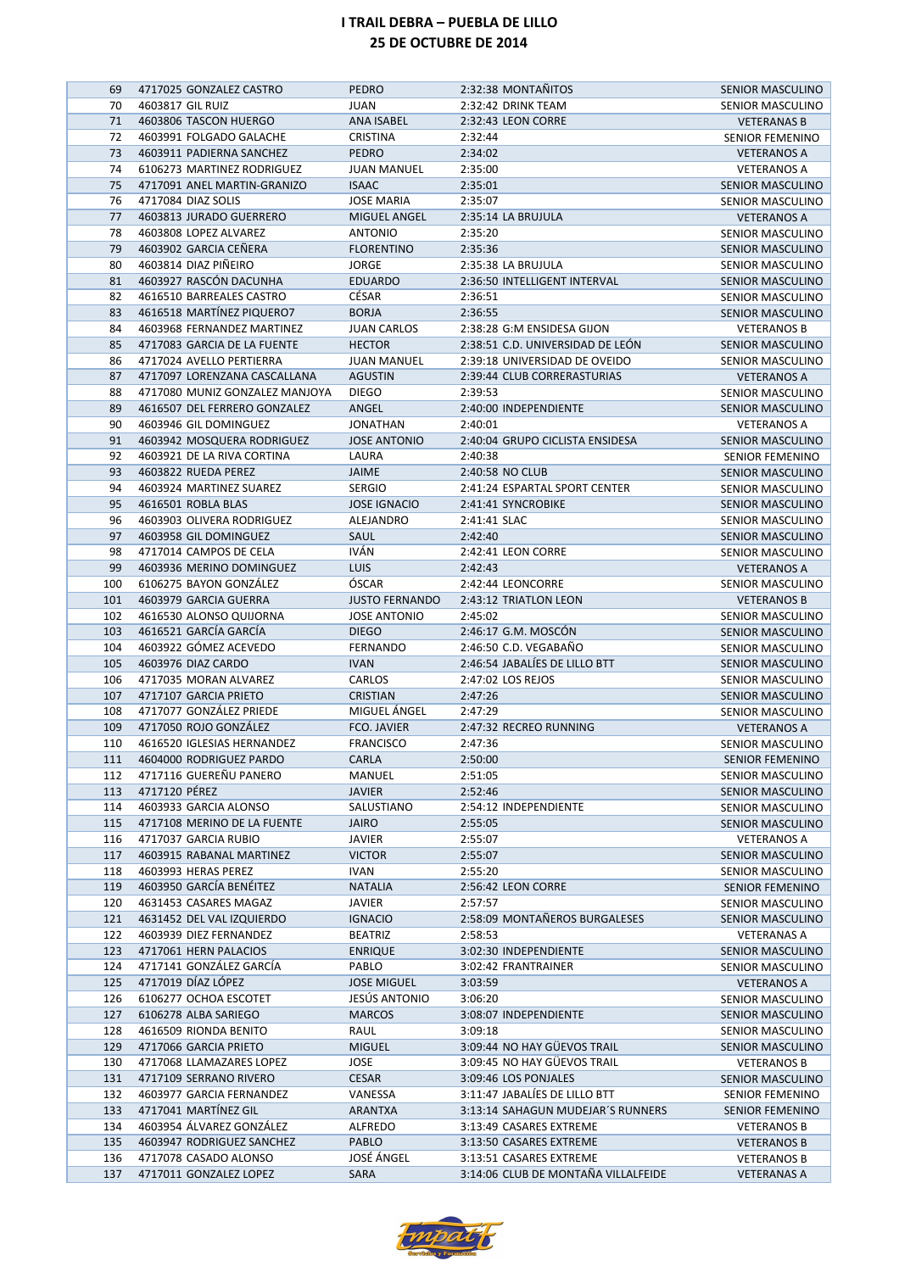| 69       | 4717025 GONZALEZ CASTRO                            | <b>PEDRO</b>           | 2:32:38 MONTAÑITOS                  | SENIOR MASCULINO                       |
|----------|----------------------------------------------------|------------------------|-------------------------------------|----------------------------------------|
| 70       | 4603817 GIL RUIZ                                   | JUAN                   | 2:32:42 DRINK TEAM                  | SENIOR MASCULINO                       |
| 71       | 4603806 TASCON HUERGO                              | <b>ANA ISABEL</b>      | 2:32:43 LEON CORRE                  | <b>VETERANAS B</b>                     |
| 72       | 4603991 FOLGADO GALACHE                            | <b>CRISTINA</b>        | 2:32:44                             | <b>SENIOR FEMENINO</b>                 |
| 73       | 4603911 PADIERNA SANCHEZ                           | <b>PEDRO</b>           | 2:34:02                             | <b>VETERANOS A</b>                     |
| 74       | 6106273 MARTINEZ RODRIGUEZ                         | <b>JUAN MANUEL</b>     | 2:35:00                             | <b>VETERANOS A</b>                     |
| 75       | 4717091 ANEL MARTIN-GRANIZO                        | <b>ISAAC</b>           | 2:35:01                             | SENIOR MASCULINO                       |
| 76       | 4717084 DIAZ SOLIS                                 | <b>JOSE MARIA</b>      | 2:35:07                             | SENIOR MASCULINO                       |
| 77       | 4603813 JURADO GUERRERO                            | MIGUEL ANGEL           | 2:35:14 LA BRUJULA                  | <b>VETERANOS A</b>                     |
| 78       | 4603808 LOPEZ ALVAREZ                              | <b>ANTONIO</b>         | 2:35:20                             | SENIOR MASCULINO                       |
| 79       | 4603902 GARCIA CEÑERA                              | <b>FLORENTINO</b>      | 2:35:36                             | SENIOR MASCULINO                       |
| 80       | 4603814 DIAZ PIÑEIRO                               | <b>JORGE</b>           | 2:35:38 LA BRUJULA                  | <b>SENIOR MASCULINO</b>                |
| 81       | 4603927 RASCÓN DACUNHA                             | <b>EDUARDO</b>         | 2:36:50 INTELLIGENT INTERVAL        | <b>SENIOR MASCULINO</b>                |
| 82       | 4616510 BARREALES CASTRO                           | CÉSAR                  | 2:36:51                             | <b>SENIOR MASCULINO</b>                |
| 83       | 4616518 MARTÍNEZ PIQUERO7                          | <b>BORJA</b>           | 2:36:55                             | SENIOR MASCULINO                       |
| 84       | 4603968 FERNANDEZ MARTINEZ                         | <b>JUAN CARLOS</b>     | 2:38:28 G:M ENSIDESA GIJON          | <b>VETERANOS B</b>                     |
| 85       | 4717083 GARCIA DE LA FUENTE                        | <b>HECTOR</b>          | 2:38:51 C.D. UNIVERSIDAD DE LEÓN    | <b>SENIOR MASCULINO</b>                |
| 86       | 4717024 AVELLO PERTIERRA                           | <b>JUAN MANUEL</b>     | 2:39:18 UNIVERSIDAD DE OVEIDO       | SENIOR MASCULINO                       |
| 87       | 4717097 LORENZANA CASCALLANA                       | <b>AGUSTIN</b>         | 2:39:44 CLUB CORRERASTURIAS         | <b>VETERANOS A</b>                     |
| 88       | 4717080 MUNIZ GONZALEZ MANJOYA                     | <b>DIEGO</b>           | 2:39:53                             | <b>SENIOR MASCULINO</b>                |
| 89       | 4616507 DEL FERRERO GONZALEZ                       | ANGEL                  | 2:40:00 INDEPENDIENTE               | <b>SENIOR MASCULINO</b>                |
| 90       | 4603946 GIL DOMINGUEZ                              | <b>JONATHAN</b>        | 2:40:01                             | <b>VETERANOS A</b>                     |
| 91       | 4603942 MOSQUERA RODRIGUEZ                         | <b>JOSE ANTONIO</b>    | 2:40:04 GRUPO CICLISTA ENSIDESA     | <b>SENIOR MASCULINO</b>                |
| 92       | 4603921 DE LA RIVA CORTINA                         | LAURA                  | 2:40:38                             | <b>SENIOR FEMENINO</b>                 |
| 93       | 4603822 RUEDA PEREZ<br>4603924 MARTINEZ SUAREZ     | JAIME<br><b>SERGIO</b> | 2:40:58 NO CLUB                     | <b>SENIOR MASCULINO</b>                |
| 94       |                                                    |                        | 2:41:24 ESPARTAL SPORT CENTER       | SENIOR MASCULINO                       |
| 95       | 4616501 ROBLA BLAS                                 | <b>JOSE IGNACIO</b>    | 2:41:41 SYNCROBIKE                  | SENIOR MASCULINO                       |
| 96<br>97 | 4603903 OLIVERA RODRIGUEZ<br>4603958 GIL DOMINGUEZ | ALEJANDRO              | 2:41:41 SLAC<br>2:42:40             | SENIOR MASCULINO                       |
| 98       | 4717014 CAMPOS DE CELA                             | SAUL<br>IVÁN           | 2:42:41 LEON CORRE                  | <b>SENIOR MASCULINO</b>                |
| 99       | 4603936 MERINO DOMINGUEZ                           | <b>LUIS</b>            | 2:42:43                             | SENIOR MASCULINO                       |
| 100      | 6106275 BAYON GONZÁLEZ                             | ÓSCAR                  | 2:42:44 LEONCORRE                   | <b>VETERANOS A</b><br>SENIOR MASCULINO |
| 101      | 4603979 GARCIA GUERRA                              | <b>JUSTO FERNANDO</b>  | 2:43:12 TRIATLON LEON               | <b>VETERANOS B</b>                     |
| 102      | 4616530 ALONSO QUIJORNA                            | <b>JOSE ANTONIO</b>    | 2:45:02                             | SENIOR MASCULINO                       |
| 103      | 4616521 GARCÍA GARCÍA                              | <b>DIEGO</b>           | 2:46:17 G.M. MOSCÓN                 | <b>SENIOR MASCULINO</b>                |
| 104      | 4603922 GÓMEZ ACEVEDO                              | <b>FERNANDO</b>        | 2:46:50 C.D. VEGABAÑO               | SENIOR MASCULINO                       |
| 105      | 4603976 DIAZ CARDO                                 | <b>IVAN</b>            | 2:46:54 JABALÍES DE LILLO BTT       | <b>SENIOR MASCULINO</b>                |
| 106      | 4717035 MORAN ALVAREZ                              | CARLOS                 | 2:47:02 LOS REJOS                   | <b>SENIOR MASCULINO</b>                |
| 107      | 4717107 GARCIA PRIETO                              | <b>CRISTIAN</b>        | 2:47:26                             | SENIOR MASCULINO                       |
| 108      | 4717077 GONZÁLEZ PRIEDE                            | MIGUEL ÁNGEL           | 2:47:29                             | SENIOR MASCULINO                       |
| 109      | 4717050 ROJO GONZÁLEZ                              | FCO. JAVIER            | 2:47:32 RECREO RUNNING              | <b>VETERANOS A</b>                     |
| 110      | 4616520 IGLESIAS HERNANDEZ                         | <b>FRANCISCO</b>       | 2:47:36                             | SENIOR MASCULINO                       |
| 111      | 4604000 RODRIGUEZ PARDO                            | CARLA                  | 2:50:00                             | SENIOR FEMENINO                        |
| 112      | 4717116 GUEREÑU PANERO                             | MANUEL                 | 2:51:05                             | SENIOR MASCULINO                       |
| 113      | 4717120 PÉREZ                                      | <b>JAVIER</b>          | 2:52:46                             | SENIOR MASCULINO                       |
| 114      | 4603933 GARCIA ALONSO                              | SALUSTIANO             | 2:54:12 INDEPENDIENTE               | SENIOR MASCULINO                       |
| 115      | 4717108 MERINO DE LA FUENTE                        | JAIRO                  | 2:55:05                             | SENIOR MASCULINO                       |
| 116      | 4717037 GARCIA RUBIO                               | <b>JAVIER</b>          | 2:55:07                             | <b>VETERANOS A</b>                     |
| 117      | 4603915 RABANAL MARTINEZ                           | <b>VICTOR</b>          | 2:55:07                             | SENIOR MASCULINO                       |
| 118      | 4603993 HERAS PEREZ                                | IVAN                   | 2:55:20                             | SENIOR MASCULINO                       |
| 119      | 4603950 GARCÍA BENÉITEZ                            | <b>NATALIA</b>         | 2:56:42 LEON CORRE                  | <b>SENIOR FEMENINO</b>                 |
| 120      | 4631453 CASARES MAGAZ                              | <b>JAVIER</b>          | 2:57:57                             | SENIOR MASCULINO                       |
| 121      | 4631452 DEL VAL IZQUIERDO                          | <b>IGNACIO</b>         | 2:58:09 MONTAÑEROS BURGALESES       | <b>SENIOR MASCULINO</b>                |
| 122      | 4603939 DIEZ FERNANDEZ                             | <b>BEATRIZ</b>         | 2:58:53                             | VETERANAS A                            |
| 123      | 4717061 HERN PALACIOS                              | <b>ENRIQUE</b>         | 3:02:30 INDEPENDIENTE               | SENIOR MASCULINO                       |
| 124      | 4717141 GONZÁLEZ GARCÍA                            | PABLO                  | 3:02:42 FRANTRAINER                 | SENIOR MASCULINO                       |
| 125      | 4717019 DÍAZ LÓPEZ                                 | <b>JOSE MIGUEL</b>     | 3:03:59                             | <b>VETERANOS A</b>                     |
| 126      | 6106277 OCHOA ESCOTET                              | JESÚS ANTONIO          | 3:06:20                             | SENIOR MASCULINO                       |
| 127      | 6106278 ALBA SARIEGO                               | <b>MARCOS</b>          | 3:08:07 INDEPENDIENTE               | <b>SENIOR MASCULINO</b>                |
| 128      | 4616509 RIONDA BENITO                              | RAUL                   | 3:09:18                             | SENIOR MASCULINO                       |
| 129      | 4717066 GARCIA PRIETO                              | <b>MIGUEL</b>          | 3:09:44 NO HAY GÜEVOS TRAIL         | SENIOR MASCULINO                       |
| 130      | 4717068 LLAMAZARES LOPEZ                           | JOSE                   | 3:09:45 NO HAY GÜEVOS TRAIL         | <b>VETERANOS B</b>                     |
| 131      | 4717109 SERRANO RIVERO                             | CESAR                  | 3:09:46 LOS PONJALES                | SENIOR MASCULINO                       |
| 132      | 4603977 GARCIA FERNANDEZ                           | VANESSA                | 3:11:47 JABALIES DE LILLO BTT       | SENIOR FEMENINO                        |
| 133      | 4717041 MARTÍNEZ GIL                               | <b>ARANTXA</b>         | 3:13:14 SAHAGUN MUDEJAR'S RUNNERS   | <b>SENIOR FEMENINO</b>                 |
| 134      | 4603954 ÁLVAREZ GONZÁLEZ                           | ALFREDO                | 3:13:49 CASARES EXTREME             | <b>VETERANOS B</b>                     |
| 135      | 4603947 RODRIGUEZ SANCHEZ                          | PABLO                  | 3:13:50 CASARES EXTREME             | <b>VETERANOS B</b>                     |
| 136      | 4717078 CASADO ALONSO                              | JOSÉ ÁNGEL             | 3:13:51 CASARES EXTREME             | <b>VETERANOS B</b>                     |
| 137      | 4717011 GONZALEZ LOPEZ                             | SARA                   | 3:14:06 CLUB DE MONTAÑA VILLALFEIDE | <b>VETERANAS A</b>                     |

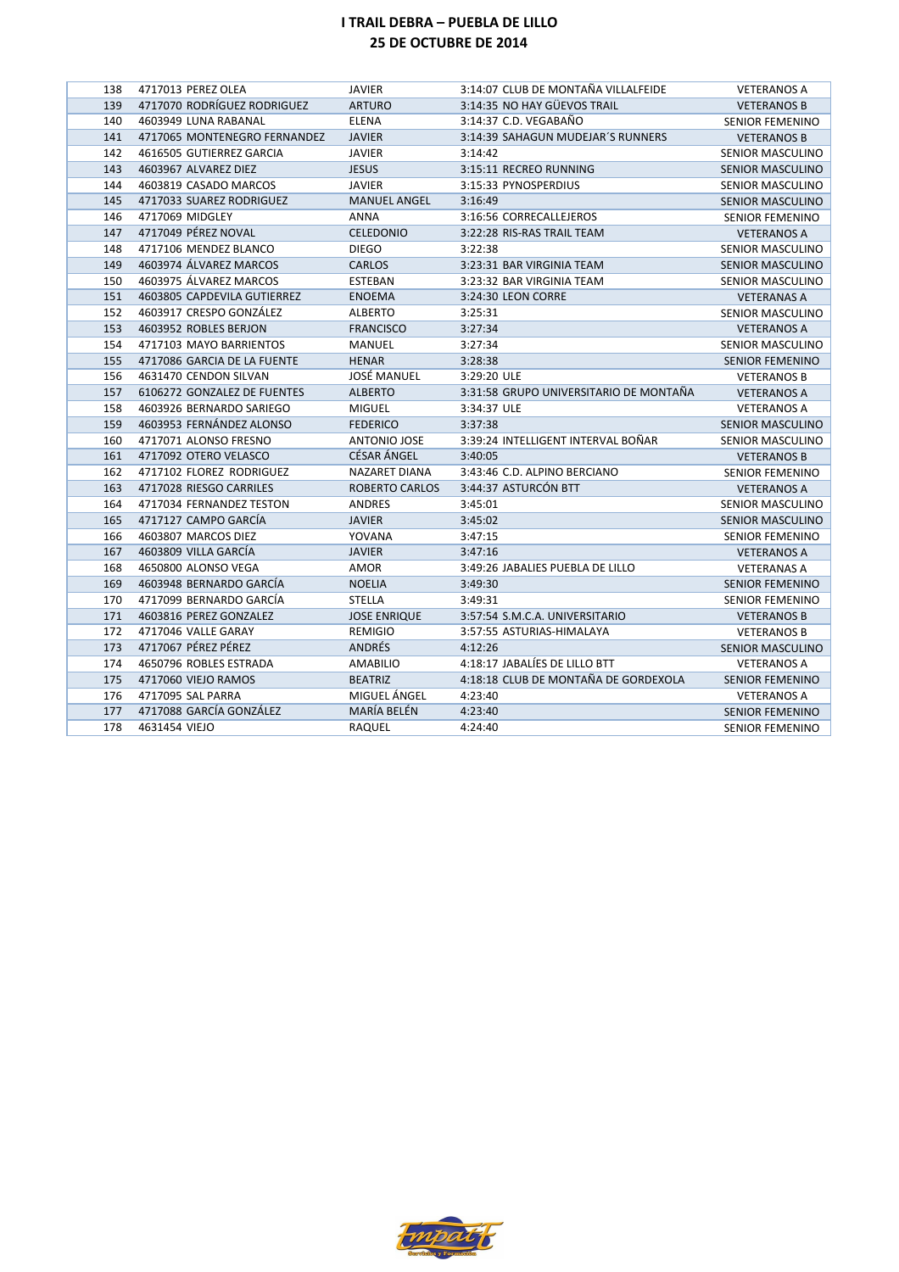| 138 | 4717013 PEREZ OLEA           | <b>JAVIER</b>         | 3:14:07 CLUB DE MONTAÑA VILLALFEIDE    | <b>VETERANOS A</b>      |
|-----|------------------------------|-----------------------|----------------------------------------|-------------------------|
| 139 | 4717070 RODRÍGUEZ RODRIGUEZ  | <b>ARTURO</b>         | 3:14:35 NO HAY GÜEVOS TRAIL            | <b>VETERANOS B</b>      |
| 140 | 4603949 LUNA RABANAL         | <b>ELENA</b>          | 3:14:37 C.D. VEGABAÑO                  | <b>SENIOR FEMENINO</b>  |
| 141 | 4717065 MONTENEGRO FERNANDEZ | <b>JAVIER</b>         | 3:14:39 SAHAGUN MUDEJAR'S RUNNERS      | <b>VETERANOS B</b>      |
| 142 | 4616505 GUTIERREZ GARCIA     | <b>JAVIER</b>         | 3:14:42                                | SENIOR MASCULINO        |
| 143 | 4603967 ALVAREZ DIEZ         | <b>JESUS</b>          | 3:15:11 RECREO RUNNING                 | <b>SENIOR MASCULINO</b> |
| 144 | 4603819 CASADO MARCOS        | <b>JAVIER</b>         | 3:15:33 PYNOSPERDIUS                   | <b>SENIOR MASCULINO</b> |
| 145 | 4717033 SUAREZ RODRIGUEZ     | <b>MANUEL ANGEL</b>   | 3:16:49                                | <b>SENIOR MASCULINO</b> |
| 146 | 4717069 MIDGLEY              | <b>ANNA</b>           | 3:16:56 CORRECALLEJEROS                | <b>SENIOR FEMENINO</b>  |
| 147 | 4717049 PÉREZ NOVAL          | <b>CELEDONIO</b>      | 3:22:28 RIS-RAS TRAIL TEAM             | <b>VETERANOS A</b>      |
| 148 | 4717106 MENDEZ BLANCO        | <b>DIEGO</b>          | 3:22:38                                | SENIOR MASCULINO        |
| 149 | 4603974 ÁLVAREZ MARCOS       | <b>CARLOS</b>         | 3:23:31 BAR VIRGINIA TEAM              | <b>SENIOR MASCULINO</b> |
| 150 | 4603975 ÁLVAREZ MARCOS       | <b>ESTEBAN</b>        | 3:23:32 BAR VIRGINIA TEAM              | SENIOR MASCULINO        |
| 151 | 4603805 CAPDEVILA GUTIERREZ  | <b>ENOEMA</b>         | 3:24:30 LEON CORRE                     | <b>VETERANAS A</b>      |
| 152 | 4603917 CRESPO GONZÁLEZ      | <b>ALBERTO</b>        | 3:25:31                                | SENIOR MASCULINO        |
| 153 | 4603952 ROBLES BERJON        | <b>FRANCISCO</b>      | 3:27:34                                | <b>VETERANOS A</b>      |
| 154 | 4717103 MAYO BARRIENTOS      | <b>MANUEL</b>         | 3:27:34                                | SENIOR MASCULINO        |
| 155 | 4717086 GARCIA DE LA FUENTE  | <b>HENAR</b>          | 3:28:38                                | <b>SENIOR FEMENINO</b>  |
| 156 | 4631470 CENDON SILVAN        | <b>JOSÉ MANUEL</b>    | 3:29:20 ULE                            | <b>VETERANOS B</b>      |
| 157 | 6106272 GONZALEZ DE FUENTES  | <b>ALBERTO</b>        | 3:31:58 GRUPO UNIVERSITARIO DE MONTAÑA | <b>VETERANOS A</b>      |
| 158 | 4603926 BERNARDO SARIEGO     | <b>MIGUEL</b>         | 3:34:37 ULE                            | <b>VETERANOS A</b>      |
| 159 | 4603953 FERNÁNDEZ ALONSO     | <b>FEDERICO</b>       | 3:37:38                                | <b>SENIOR MASCULINO</b> |
| 160 | 4717071 ALONSO FRESNO        | <b>ANTONIO JOSE</b>   | 3:39:24 INTELLIGENT INTERVAL BOÑAR     | SENIOR MASCULINO        |
| 161 | 4717092 OTERO VELASCO        | <b>CÉSAR ÁNGEL</b>    | 3:40:05                                | <b>VETERANOS B</b>      |
| 162 | 4717102 FLOREZ RODRIGUEZ     | <b>NAZARET DIANA</b>  | 3:43:46 C.D. ALPINO BERCIANO           | <b>SENIOR FEMENINO</b>  |
| 163 | 4717028 RIESGO CARRILES      | <b>ROBERTO CARLOS</b> | 3:44:37 ASTURCÓN BTT                   | <b>VETERANOS A</b>      |
| 164 | 4717034 FERNANDEZ TESTON     | ANDRES                | 3:45:01                                | SENIOR MASCULINO        |
| 165 | 4717127 CAMPO GARCÍA         | <b>JAVIER</b>         | 3:45:02                                | <b>SENIOR MASCULINO</b> |
| 166 | 4603807 MARCOS DIEZ          | YOVANA                | 3:47:15                                | <b>SENIOR FEMENINO</b>  |
| 167 | 4603809 VILLA GARCÍA         | <b>JAVIER</b>         | 3:47:16                                | <b>VETERANOS A</b>      |
| 168 | 4650800 ALONSO VEGA          | AMOR                  | 3:49:26 JABALIES PUEBLA DE LILLO       | <b>VETERANAS A</b>      |
| 169 | 4603948 BERNARDO GARCÍA      | <b>NOELIA</b>         | 3:49:30                                | <b>SENIOR FEMENINO</b>  |
| 170 | 4717099 BERNARDO GARCÍA      | <b>STELLA</b>         | 3:49:31                                | <b>SENIOR FEMENINO</b>  |
| 171 | 4603816 PEREZ GONZALEZ       | <b>JOSE ENRIQUE</b>   | 3:57:54 S.M.C.A. UNIVERSITARIO         | <b>VETERANOS B</b>      |
| 172 | 4717046 VALLE GARAY          | <b>REMIGIO</b>        | 3:57:55 ASTURIAS-HIMALAYA              | <b>VETERANOS B</b>      |
| 173 | 4717067 PÉREZ PÉREZ          | ANDRÉS                | 4:12:26                                | <b>SENIOR MASCULINO</b> |
| 174 | 4650796 ROBLES ESTRADA       | AMABILIO              | 4:18:17 JABALÍES DE LILLO BTT          | <b>VETERANOS A</b>      |
| 175 | 4717060 VIEJO RAMOS          | <b>BEATRIZ</b>        | 4:18:18 CLUB DE MONTAÑA DE GORDEXOLA   | <b>SENIOR FEMENINO</b>  |
| 176 | 4717095 SAL PARRA            | MIGUEL ÁNGEL          | 4:23:40                                | <b>VETERANOS A</b>      |
| 177 | 4717088 GARCÍA GONZÁLEZ      | MARÍA BELÉN           | 4:23:40                                | <b>SENIOR FEMENINO</b>  |
| 178 | 4631454 VIEJO                | RAQUEL                | 4:24:40                                | <b>SENIOR FEMENINO</b>  |

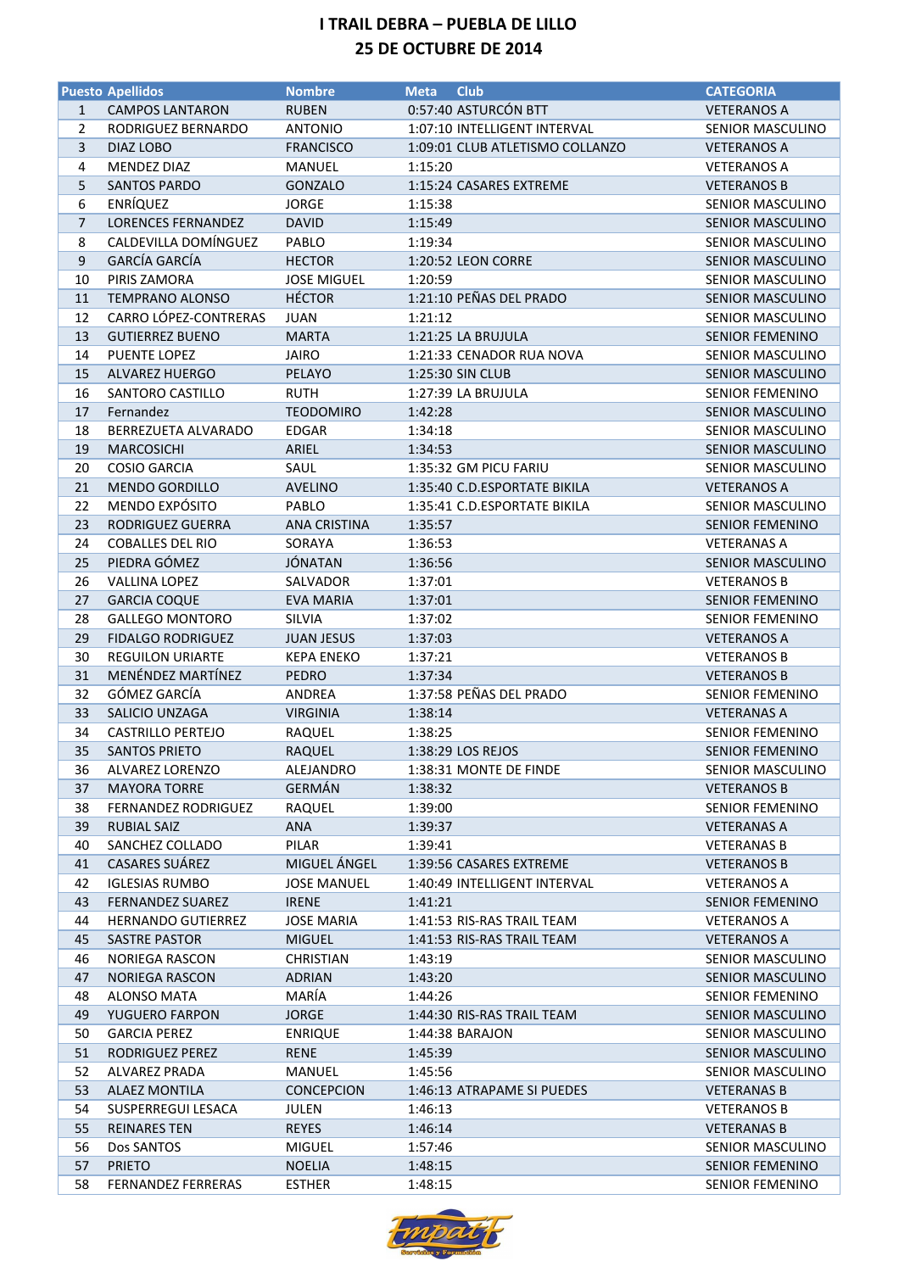|                  | <b>Puesto Apellidos</b>    | <b>Nombre</b>       | <b>Club</b><br><b>Meta</b>      | <b>CATEGORIA</b>        |
|------------------|----------------------------|---------------------|---------------------------------|-------------------------|
| $\mathbf{1}$     | <b>CAMPOS LANTARON</b>     | <b>RUBEN</b>        | 0:57:40 ASTURCÓN BTT            | <b>VETERANOS A</b>      |
| 2                | RODRIGUEZ BERNARDO         | <b>ANTONIO</b>      | 1:07:10 INTELLIGENT INTERVAL    | SENIOR MASCULINO        |
| 3                | DIAZ LOBO                  | <b>FRANCISCO</b>    | 1:09:01 CLUB ATLETISMO COLLANZO | <b>VETERANOS A</b>      |
| 4                | MENDEZ DIAZ                | MANUEL              | 1:15:20                         | <b>VETERANOS A</b>      |
| 5                | <b>SANTOS PARDO</b>        | GONZALO             | 1:15:24 CASARES EXTREME         | <b>VETERANOS B</b>      |
| 6                | <b>ENRÍQUEZ</b>            | <b>JORGE</b>        | 1:15:38                         | <b>SENIOR MASCULINO</b> |
| $\overline{7}$   | <b>LORENCES FERNANDEZ</b>  | <b>DAVID</b>        | 1:15:49                         | SENIOR MASCULINO        |
| 8                | CALDEVILLA DOMÍNGUEZ       | PABLO               | 1:19:34                         | SENIOR MASCULINO        |
| $\boldsymbol{9}$ | GARCÍA GARCÍA              | <b>HECTOR</b>       | 1:20:52 LEON CORRE              | SENIOR MASCULINO        |
|                  | PIRIS ZAMORA               |                     |                                 |                         |
| 10               |                            | <b>JOSE MIGUEL</b>  | 1:20:59                         | SENIOR MASCULINO        |
| 11               | <b>TEMPRANO ALONSO</b>     | <b>HÉCTOR</b>       | 1:21:10 PEÑAS DEL PRADO         | SENIOR MASCULINO        |
| 12               | CARRO LÓPEZ-CONTRERAS      | <b>JUAN</b>         | 1:21:12                         | SENIOR MASCULINO        |
| 13               | <b>GUTIERREZ BUENO</b>     | <b>MARTA</b>        | 1:21:25 LA BRUJULA              | SENIOR FEMENINO         |
| 14               | <b>PUENTE LOPEZ</b>        | <b>JAIRO</b>        | 1:21:33 CENADOR RUA NOVA        | SENIOR MASCULINO        |
| 15               | <b>ALVAREZ HUERGO</b>      | PELAYO              | 1:25:30 SIN CLUB                | <b>SENIOR MASCULINO</b> |
| 16               | SANTORO CASTILLO           | <b>RUTH</b>         | 1:27:39 LA BRUJULA              | <b>SENIOR FEMENINO</b>  |
| 17               | Fernandez                  | <b>TEODOMIRO</b>    | 1:42:28                         | SENIOR MASCULINO        |
| 18               | BERREZUETA ALVARADO        | <b>EDGAR</b>        | 1:34:18                         | <b>SENIOR MASCULINO</b> |
| 19               | <b>MARCOSICHI</b>          | ARIEL               | 1:34:53                         | SENIOR MASCULINO        |
| 20               | <b>COSIO GARCIA</b>        | SAUL                | 1:35:32 GM PICU FARIU           | <b>SENIOR MASCULINO</b> |
| 21               | <b>MENDO GORDILLO</b>      | <b>AVELINO</b>      | 1:35:40 C.D.ESPORTATE BIKILA    | <b>VETERANOS A</b>      |
| 22               | MENDO EXPÓSITO             | PABLO               | 1:35:41 C.D.ESPORTATE BIKILA    | <b>SENIOR MASCULINO</b> |
| 23               | <b>RODRIGUEZ GUERRA</b>    | <b>ANA CRISTINA</b> | 1:35:57                         | <b>SENIOR FEMENINO</b>  |
| 24               | <b>COBALLES DEL RIO</b>    | SORAYA              | 1:36:53                         | <b>VETERANAS A</b>      |
| 25               | PIEDRA GÓMEZ               | <b>JÓNATAN</b>      | 1:36:56                         | SENIOR MASCULINO        |
| 26               | VALLINA LOPEZ              | SALVADOR            | 1:37:01                         | <b>VETERANOS B</b>      |
| 27               | <b>GARCIA COQUE</b>        | <b>EVA MARIA</b>    | 1:37:01                         | <b>SENIOR FEMENINO</b>  |
| 28               | <b>GALLEGO MONTORO</b>     | SILVIA              | 1:37:02                         | <b>SENIOR FEMENINO</b>  |
| 29               | <b>FIDALGO RODRIGUEZ</b>   | <b>JUAN JESUS</b>   | 1:37:03                         | <b>VETERANOS A</b>      |
| 30               | <b>REGUILON URIARTE</b>    | <b>KEPA ENEKO</b>   | 1:37:21                         | <b>VETERANOS B</b>      |
| 31               | MENÉNDEZ MARTÍNEZ          | PEDRO               | 1:37:34                         | <b>VETERANOS B</b>      |
| 32               | GÓMEZ GARCÍA               | ANDREA              | 1:37:58 PEÑAS DEL PRADO         | <b>SENIOR FEMENINO</b>  |
| 33               | SALICIO UNZAGA             | <b>VIRGINIA</b>     | 1:38:14                         | <b>VETERANAS A</b>      |
| 34               | <b>CASTRILLO PERTEJO</b>   | RAQUEL              | 1:38:25                         | <b>SENIOR FEMENINO</b>  |
| 35               | <b>SANTOS PRIETO</b>       | <b>RAQUEL</b>       | 1:38:29 LOS REJOS               | <b>SENIOR FEMENINO</b>  |
| 36               | ALVAREZ LORENZO            | ALEJANDRO           | 1:38:31 MONTE DE FINDE          | SENIOR MASCULINO        |
| 37               | <b>MAYORA TORRE</b>        | <b>GERMÁN</b>       | 1:38:32                         | <b>VETERANOS B</b>      |
| 38               | <b>FERNANDEZ RODRIGUEZ</b> |                     |                                 |                         |
|                  |                            | RAQUEL              | 1:39:00                         | <b>SENIOR FEMENINO</b>  |
| 39               | <b>RUBIAL SAIZ</b>         | ANA                 | 1:39:37                         | <b>VETERANAS A</b>      |
| 40               | SANCHEZ COLLADO            | PILAR               | 1:39:41                         | <b>VETERANAS B</b>      |
| 41               | CASARES SUÁREZ             | MIGUEL ÁNGEL        | 1:39:56 CASARES EXTREME         | <b>VETERANOS B</b>      |
| 42               | <b>IGLESIAS RUMBO</b>      | <b>JOSE MANUEL</b>  | 1:40:49 INTELLIGENT INTERVAL    | VETERANOS A             |
| 43               | <b>FERNANDEZ SUAREZ</b>    | <b>IRENE</b>        | 1:41:21                         | <b>SENIOR FEMENINO</b>  |
| 44               | <b>HERNANDO GUTIERREZ</b>  | <b>JOSE MARIA</b>   | 1:41:53 RIS-RAS TRAIL TEAM      | <b>VETERANOS A</b>      |
| 45               | SASTRE PASTOR              | <b>MIGUEL</b>       | 1:41:53 RIS-RAS TRAIL TEAM      | <b>VETERANOS A</b>      |
| 46               | NORIEGA RASCON             | <b>CHRISTIAN</b>    | 1:43:19                         | SENIOR MASCULINO        |
| 47               | NORIEGA RASCON             | <b>ADRIAN</b>       | 1:43:20                         | SENIOR MASCULINO        |
| 48               | ALONSO MATA                | MARÍA               | 1:44:26                         | SENIOR FEMENINO         |
| 49               | YUGUERO FARPON             | <b>JORGE</b>        | 1:44:30 RIS-RAS TRAIL TEAM      | SENIOR MASCULINO        |
| 50               | <b>GARCIA PEREZ</b>        | <b>ENRIQUE</b>      | 1:44:38 BARAJON                 | SENIOR MASCULINO        |
| 51               | RODRIGUEZ PEREZ            | <b>RENE</b>         | 1:45:39                         | SENIOR MASCULINO        |
| 52               | ALVAREZ PRADA              | MANUEL              | 1:45:56                         | SENIOR MASCULINO        |
| 53               | <b>ALAEZ MONTILA</b>       | <b>CONCEPCION</b>   | 1:46:13 ATRAPAME SI PUEDES      | <b>VETERANAS B</b>      |
| 54               | SUSPERREGUI LESACA         | <b>JULEN</b>        | 1:46:13                         | <b>VETERANOS B</b>      |
| 55               | <b>REINARES TEN</b>        | <b>REYES</b>        | 1:46:14                         | <b>VETERANAS B</b>      |
| 56               | Dos SANTOS                 | <b>MIGUEL</b>       | 1:57:46                         | SENIOR MASCULINO        |
| 57               | <b>PRIETO</b>              | <b>NOELIA</b>       | 1:48:15                         | SENIOR FEMENINO         |
| 58               | <b>FERNANDEZ FERRERAS</b>  | <b>ESTHER</b>       | 1:48:15                         | <b>SENIOR FEMENINO</b>  |

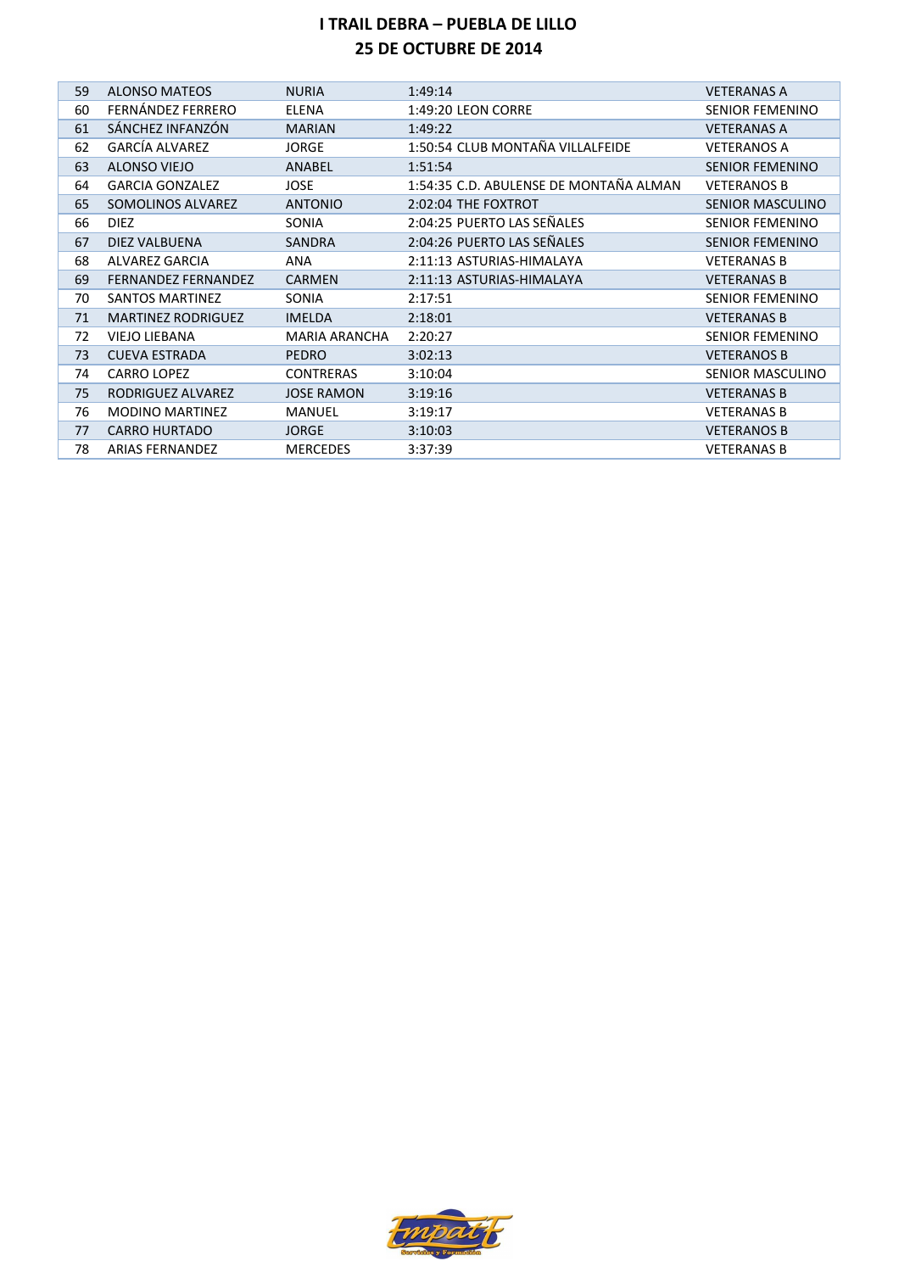| 59 | <b>ALONSO MATEOS</b>       | <b>NURIA</b>         | 1:49:14                                | <b>VETERANAS A</b>      |
|----|----------------------------|----------------------|----------------------------------------|-------------------------|
| 60 | FERNÁNDEZ FERRERO          | <b>ELENA</b>         | 1:49:20 LEON CORRE                     | <b>SENIOR FEMENINO</b>  |
| 61 | SÁNCHEZ INFANZÓN           | <b>MARIAN</b>        | 1:49:22                                | <b>VETERANAS A</b>      |
| 62 | <b>GARCÍA ALVAREZ</b>      | <b>JORGE</b>         | 1:50:54 CLUB MONTAÑA VILLALFEIDE       | <b>VETERANOS A</b>      |
| 63 | <b>ALONSO VIEJO</b>        | ANABEL               | 1:51:54                                | <b>SENIOR FEMENINO</b>  |
| 64 | <b>GARCIA GONZALEZ</b>     | <b>JOSE</b>          | 1:54:35 C.D. ABULENSE DE MONTAÑA ALMAN | <b>VETERANOS B</b>      |
| 65 | SOMOLINOS ALVAREZ          | <b>ANTONIO</b>       | 2:02:04 THE FOXTROT                    | <b>SENIOR MASCULINO</b> |
| 66 | <b>DIEZ</b>                | <b>SONIA</b>         | 2:04:25 PUERTO LAS SEÑALES             | <b>SENIOR FEMENINO</b>  |
| 67 | DIEZ VALBUENA              | <b>SANDRA</b>        | 2:04:26 PUERTO LAS SEÑALES             | <b>SENIOR FEMENINO</b>  |
| 68 | ALVAREZ GARCIA             | <b>ANA</b>           | 2:11:13 ASTURIAS-HIMALAYA              | <b>VETERANAS B</b>      |
| 69 | <b>FERNANDEZ FERNANDEZ</b> | <b>CARMEN</b>        | 2:11:13 ASTURIAS-HIMALAYA              | <b>VETERANAS B</b>      |
| 70 | SANTOS MARTINEZ            | SONIA                | 2:17:51                                | <b>SENIOR FEMENINO</b>  |
| 71 | <b>MARTINEZ RODRIGUEZ</b>  | <b>IMELDA</b>        | 2:18:01                                | <b>VETERANAS B</b>      |
| 72 | <b>VIEJO LIEBANA</b>       | <b>MARIA ARANCHA</b> | 2:20:27                                | <b>SENIOR FEMENINO</b>  |
| 73 | <b>CUEVA ESTRADA</b>       | <b>PEDRO</b>         | 3:02:13                                | <b>VETERANOS B</b>      |
| 74 | <b>CARRO LOPEZ</b>         | <b>CONTRERAS</b>     | 3:10:04                                | SENIOR MASCULINO        |
| 75 | RODRIGUEZ ALVAREZ          | <b>JOSE RAMON</b>    | 3:19:16                                | <b>VETERANAS B</b>      |
| 76 | <b>MODINO MARTINEZ</b>     | MANUEL               | 3:19:17                                | <b>VETERANAS B</b>      |
| 77 | <b>CARRO HURTADO</b>       | <b>JORGE</b>         | 3:10:03                                | <b>VETERANOS B</b>      |
| 78 | <b>ARIAS FERNANDEZ</b>     | <b>MERCEDES</b>      | 3:37:39                                | <b>VETERANAS B</b>      |

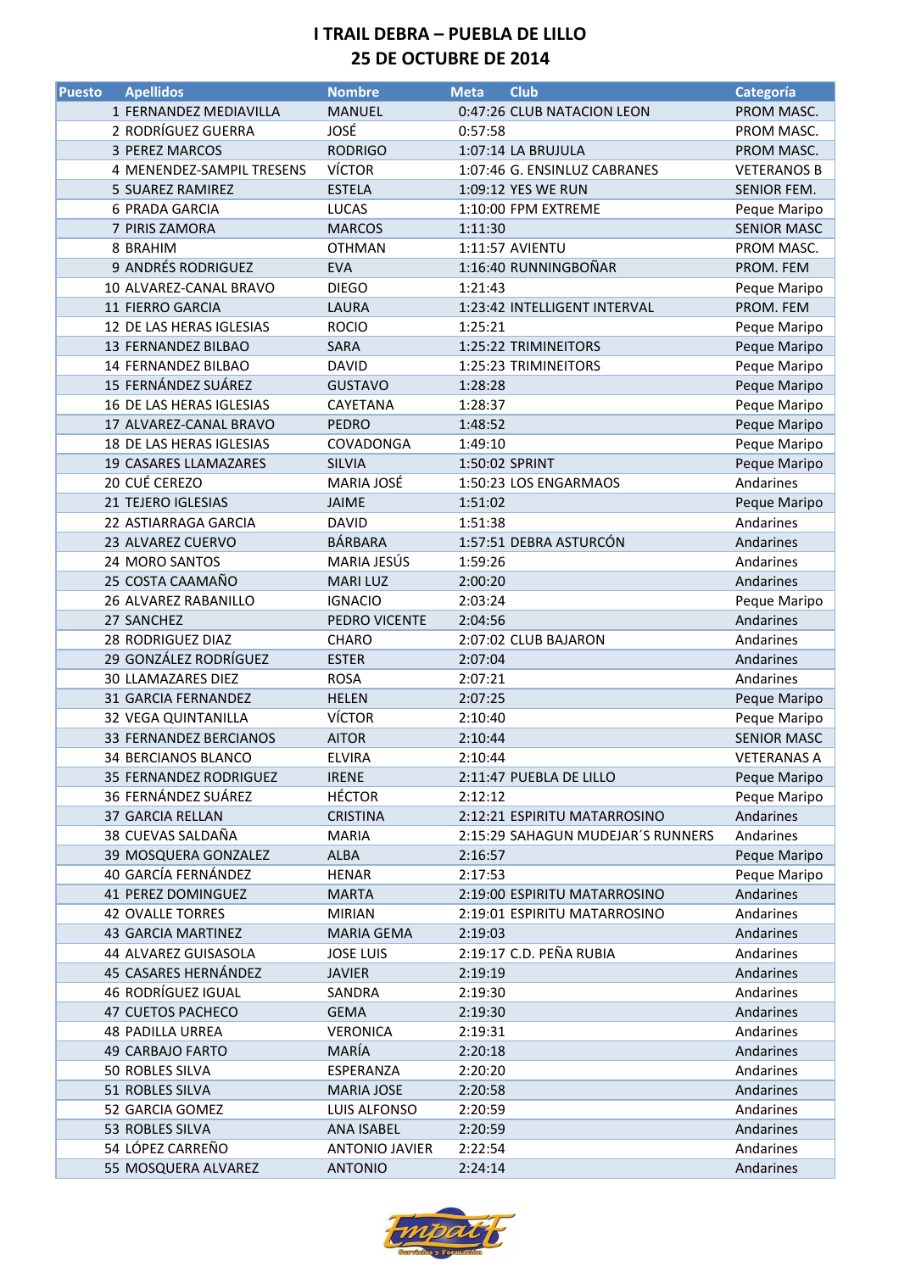| <b>Puesto</b> | <b>Apellidos</b>                      | <b>Nombre</b>         | <b>Meta</b> | <b>Club</b>                       | Categoría                 |
|---------------|---------------------------------------|-----------------------|-------------|-----------------------------------|---------------------------|
|               | 1 FERNANDEZ MEDIAVILLA                | <b>MANUEL</b>         |             | 0:47:26 CLUB NATACION LEON        | PROM MASC.                |
|               | 2 RODRÍGUEZ GUERRA                    | JOSÉ                  | 0:57:58     |                                   | PROM MASC.                |
|               | 3 PEREZ MARCOS                        | <b>RODRIGO</b>        |             | 1:07:14 LA BRUJULA                | PROM MASC.                |
|               | 4 MENENDEZ-SAMPIL TRESENS             | <b>VÍCTOR</b>         |             | 1:07:46 G. ENSINLUZ CABRANES      | <b>VETERANOS B</b>        |
|               | 5 SUAREZ RAMIREZ                      | <b>ESTELA</b>         |             | 1:09:12 YES WE RUN                | SENIOR FEM.               |
|               | <b>6 PRADA GARCIA</b>                 | <b>LUCAS</b>          |             | 1:10:00 FPM EXTREME               | Peque Maripo              |
|               | 7 PIRIS ZAMORA                        | <b>MARCOS</b>         | 1:11:30     |                                   | <b>SENIOR MASC</b>        |
|               | 8 BRAHIM                              | <b>OTHMAN</b>         |             | 1:11:57 AVIENTU                   | PROM MASC.                |
|               | 9 ANDRÉS RODRIGUEZ                    | <b>EVA</b>            |             | 1:16:40 RUNNINGBOÑAR              | PROM. FEM                 |
|               | 10 ALVAREZ-CANAL BRAVO                | <b>DIEGO</b>          | 1:21:43     |                                   | Peque Maripo              |
|               | 11 FIERRO GARCIA                      | LAURA                 |             | 1:23:42 INTELLIGENT INTERVAL      | PROM. FEM                 |
|               | 12 DE LAS HERAS IGLESIAS              | <b>ROCIO</b>          | 1:25:21     |                                   | Peque Maripo              |
|               | 13 FERNANDEZ BILBAO                   | <b>SARA</b>           |             | 1:25:22 TRIMINEITORS              | Peque Maripo              |
|               | 14 FERNANDEZ BILBAO                   | <b>DAVID</b>          |             | 1:25:23 TRIMINEITORS              | Peque Maripo              |
|               | 15 FERNÁNDEZ SUÁREZ                   | <b>GUSTAVO</b>        | 1:28:28     |                                   | Peque Maripo              |
|               | 16 DE LAS HERAS IGLESIAS              | CAYETANA              | 1:28:37     |                                   | Peque Maripo              |
|               | 17 ALVAREZ-CANAL BRAVO                | <b>PEDRO</b>          | 1:48:52     |                                   | Peque Maripo              |
|               | 18 DE LAS HERAS IGLESIAS              | COVADONGA             | 1:49:10     |                                   | Peque Maripo              |
|               | <b>19 CASARES LLAMAZARES</b>          | <b>SILVIA</b>         |             | 1:50:02 SPRINT                    | Peque Maripo              |
|               | 20 CUÉ CEREZO                         | MARIA JOSÉ            |             | 1:50:23 LOS ENGARMAOS             | Andarines                 |
|               | 21 TEJERO IGLESIAS                    | <b>JAIME</b>          | 1:51:02     |                                   | Peque Maripo              |
|               | 22 ASTIARRAGA GARCIA                  | <b>DAVID</b>          | 1:51:38     |                                   | Andarines                 |
|               | 23 ALVAREZ CUERVO                     | BÁRBARA               |             | 1:57:51 DEBRA ASTURCÓN            | Andarines                 |
|               | 24 MORO SANTOS                        | MARIA JESÚS           | 1:59:26     |                                   | Andarines                 |
|               | 25 COSTA CAAMAÑO                      | <b>MARI LUZ</b>       | 2:00:20     |                                   | Andarines                 |
|               | 26 ALVAREZ RABANILLO                  | <b>IGNACIO</b>        | 2:03:24     |                                   | Peque Maripo              |
|               | 27 SANCHEZ                            | PEDRO VICENTE         | 2:04:56     |                                   | Andarines                 |
|               | 28 RODRIGUEZ DIAZ                     | CHARO                 |             | 2:07:02 CLUB BAJARON              | Andarines                 |
|               | 29 GONZÁLEZ RODRÍGUEZ                 | <b>ESTER</b>          | 2:07:04     |                                   | Andarines                 |
|               | 30 LLAMAZARES DIEZ                    | <b>ROSA</b>           | 2:07:21     |                                   | Andarines                 |
|               | 31 GARCIA FERNANDEZ                   | <b>HELEN</b>          | 2:07:25     |                                   | Peque Maripo              |
|               | <b>32 VEGA QUINTANILLA</b>            | <b>VÍCTOR</b>         | 2:10:40     |                                   | Peque Maripo              |
|               | 33 FERNANDEZ BERCIANOS                | <b>AITOR</b>          | 2:10:44     |                                   | <b>SENIOR MASC</b>        |
|               | 34 BERCIANOS BLANCO                   | <b>ELVIRA</b>         | 2:10:44     |                                   | <b>VETERANAS A</b>        |
|               | 35 FERNANDEZ RODRIGUEZ                | <b>IRENE</b>          |             |                                   |                           |
|               | 36 FERNÁNDEZ SUÁREZ                   | <b>HÉCTOR</b>         | 2:12:12     | 2:11:47 PUEBLA DE LILLO           | Peque Maripo              |
|               |                                       |                       |             |                                   | Peque Maripo              |
|               | 37 GARCIA RELLAN<br>38 CUEVAS SALDAÑA | <b>CRISTINA</b>       |             | 2:12:21 ESPIRITU MATARROSINO      | Andarines                 |
|               | 39 MOSQUERA GONZALEZ                  | <b>MARIA</b><br>ALBA  | 2:16:57     | 2:15:29 SAHAGUN MUDEJAR'S RUNNERS | Andarines<br>Peque Maripo |
|               | 40 GARCÍA FERNÁNDEZ                   |                       |             |                                   |                           |
|               | <b>41 PEREZ DOMINGUEZ</b>             | <b>HENAR</b>          | 2:17:53     |                                   | Peque Maripo              |
|               |                                       | <b>MARTA</b>          |             | 2:19:00 ESPIRITU MATARROSINO      | Andarines                 |
|               | <b>42 OVALLE TORRES</b>               | <b>MIRIAN</b>         |             | 2:19:01 ESPIRITU MATARROSINO      | Andarines                 |
|               | 43 GARCIA MARTINEZ                    | <b>MARIA GEMA</b>     | 2:19:03     |                                   | Andarines                 |
|               | 44 ALVAREZ GUISASOLA                  | <b>JOSE LUIS</b>      |             | 2:19:17 C.D. PEÑA RUBIA           | Andarines                 |
|               | 45 CASARES HERNÁNDEZ                  | <b>JAVIER</b>         | 2:19:19     |                                   | Andarines                 |
|               | 46 RODRÍGUEZ IGUAL                    | SANDRA                | 2:19:30     |                                   | Andarines                 |
|               | 47 CUETOS PACHECO                     | <b>GEMA</b>           | 2:19:30     |                                   | Andarines                 |
|               | <b>48 PADILLA URREA</b>               | <b>VERONICA</b>       | 2:19:31     |                                   | Andarines                 |
|               | 49 CARBAJO FARTO                      | MARÍA                 | 2:20:18     |                                   | Andarines                 |
|               | 50 ROBLES SILVA                       | ESPERANZA             | 2:20:20     |                                   | Andarines                 |
|               | 51 ROBLES SILVA                       | <b>MARIA JOSE</b>     | 2:20:58     |                                   | Andarines                 |
|               | 52 GARCIA GOMEZ                       | LUIS ALFONSO          | 2:20:59     |                                   | Andarines                 |
|               | 53 ROBLES SILVA                       | <b>ANA ISABEL</b>     | 2:20:59     |                                   | Andarines                 |
|               | 54 LÓPEZ CARREÑO                      | <b>ANTONIO JAVIER</b> | 2:22:54     |                                   | Andarines                 |
|               | 55 MOSQUERA ALVAREZ                   | <b>ANTONIO</b>        | 2:24:14     |                                   | Andarines                 |

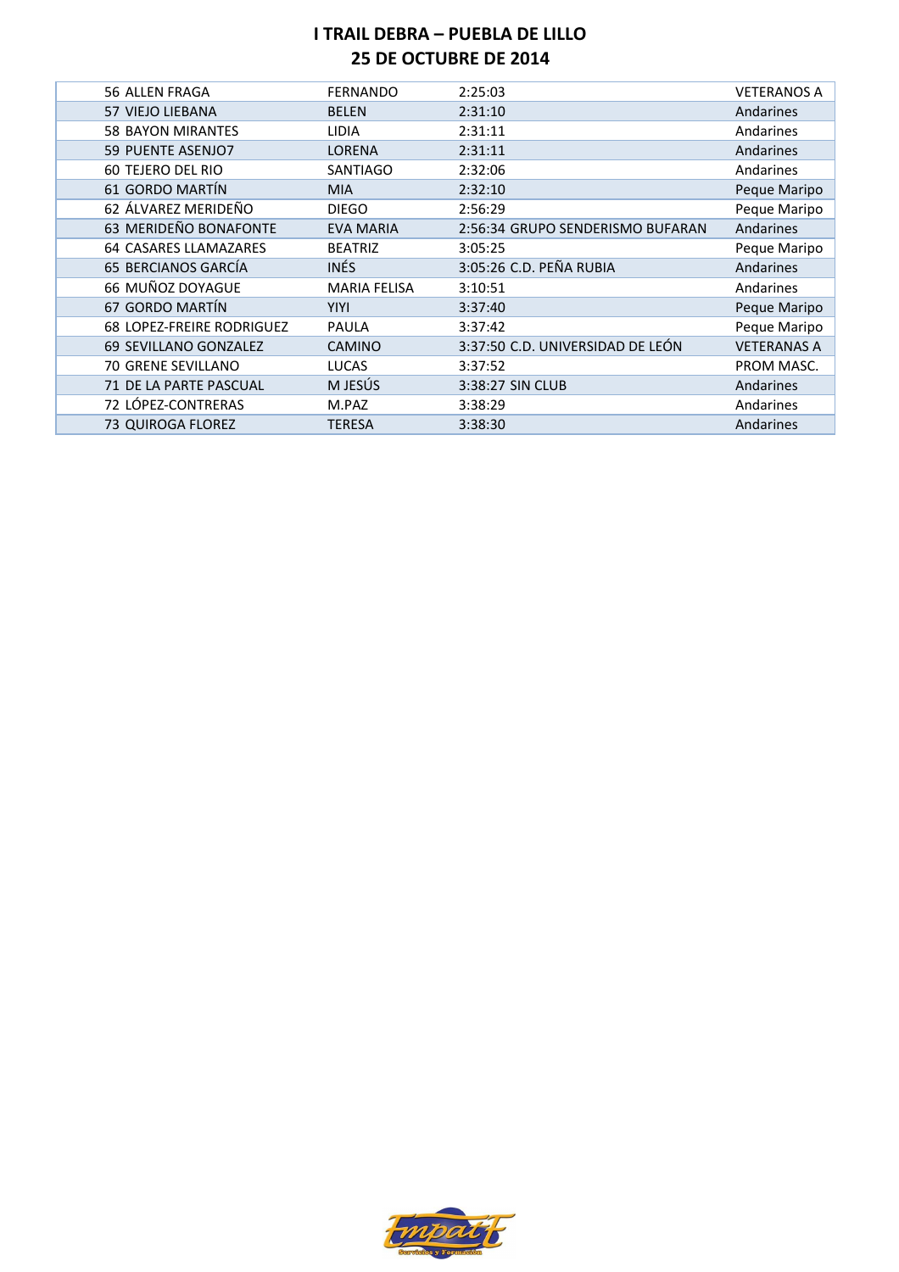| 56 ALLEN FRAGA                   | <b>FERNANDO</b>     | 2:25:03                          | <b>VETERANOS A</b> |
|----------------------------------|---------------------|----------------------------------|--------------------|
| <b>57 VIEJO LIEBANA</b>          | <b>BELEN</b>        | 2:31:10                          | Andarines          |
| <b>58 BAYON MIRANTES</b>         | <b>LIDIA</b>        | 2:31:11                          | Andarines          |
| 59 PUENTE ASENJO7                | LORENA              | 2:31:11                          | Andarines          |
| <b>60 TEJERO DEL RIO</b>         | <b>SANTIAGO</b>     | 2:32:06                          | Andarines          |
| 61 GORDO MARTÍN                  | <b>MIA</b>          | 2:32:10                          | Peque Maripo       |
| 62 ÁLVAREZ MERIDEÑO              | <b>DIEGO</b>        | 2:56:29                          | Peque Maripo       |
| 63 MERIDEÑO BONAFONTE            | <b>EVA MARIA</b>    | 2:56:34 GRUPO SENDERISMO BUFARAN | Andarines          |
| <b>64 CASARES LLAMAZARES</b>     | <b>BEATRIZ</b>      | 3:05:25                          | Peque Maripo       |
| 65 BERCIANOS GARCÍA              | INÉS                | 3:05:26 C.D. PEÑA RUBIA          | Andarines          |
| 66 MUÑOZ DOYAGUE                 | <b>MARIA FELISA</b> | 3:10:51                          | Andarines          |
| 67 GORDO MARTÍN                  | <b>YIYI</b>         | 3:37:40                          | Peque Maripo       |
| <b>68 LOPEZ-FREIRE RODRIGUEZ</b> | <b>PAULA</b>        | 3:37:42                          | Peque Maripo       |
| 69 SEVILLANO GONZALEZ            | <b>CAMINO</b>       | 3:37:50 C.D. UNIVERSIDAD DE LEÓN | <b>VETERANAS A</b> |
| <b>70 GRENE SEVILLANO</b>        | <b>LUCAS</b>        | 3:37:52                          | PROM MASC.         |
| 71 DE LA PARTE PASCUAL           | M JESÚS             | 3:38:27 SIN CLUB                 | Andarines          |
| 72 LÓPEZ-CONTRERAS               | M.PAZ               | 3:38:29                          | Andarines          |
| 73 QUIROGA FLOREZ                | <b>TERESA</b>       | 3:38:30                          | Andarines          |

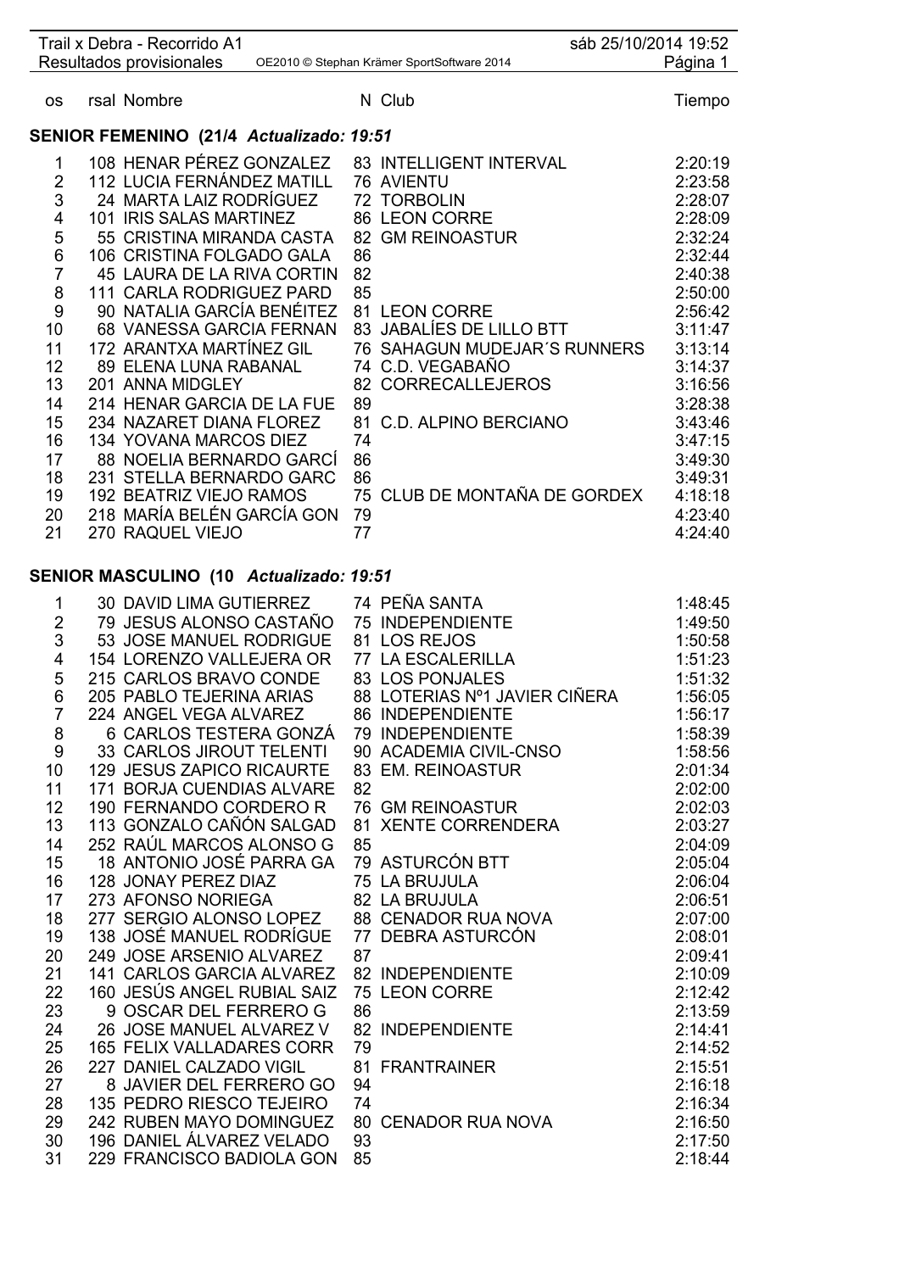|                | Trail x Debra - Recorrido A1<br>Resultados provisionales |    | sáb 25/10/2014 19:52<br>OE2010 © Stephan Krämer SportSoftware 2014 | Página 1           |
|----------------|----------------------------------------------------------|----|--------------------------------------------------------------------|--------------------|
| <b>OS</b>      | rsal Nombre                                              |    | N Club                                                             | Tiempo             |
|                |                                                          |    |                                                                    |                    |
|                | SENIOR FEMENINO (21/4 Actualizado: 19:51                 |    |                                                                    |                    |
| 1              | 108 HENAR PÉREZ GONZALEZ                                 |    | 83 INTELLIGENT INTERVAL                                            | 2:20:19            |
| $\overline{2}$ | 112 LUCIA FERNÁNDEZ MATILL                               |    | 76 AVIENTU                                                         | 2:23:58            |
| 3              | 24 MARTA LAIZ RODRÍGUEZ<br>101 IRIS SALAS MARTINEZ       |    | 72 TORBOLIN                                                        | 2:28:07            |
| 4<br>5         | 55 CRISTINA MIRANDA CASTA                                |    | 86 LEON CORRE<br>82 GM REINOASTUR                                  | 2:28:09<br>2:32:24 |
| 6              | 106 CRISTINA FOLGADO GALA                                | 86 |                                                                    | 2:32:44            |
| $\overline{7}$ | 45 LAURA DE LA RIVA CORTIN                               | 82 |                                                                    | 2:40:38            |
| 8              | 111 CARLA RODRIGUEZ PARD                                 | 85 |                                                                    | 2:50:00            |
| 9              | 90 NATALIA GARCÍA BENÉITEZ                               |    | 81 LEON CORRE                                                      | 2:56:42            |
| 10             | 68 VANESSA GARCIA FERNAN                                 |    | 83 JABALÍES DE LILLO BTT                                           | 3:11:47            |
| 11             | 172 ARANTXA MARTÍNEZ GIL                                 |    | 76 SAHAGUN MUDEJAR'S RUNNERS                                       | 3:13:14            |
| 12             | 89 ELENA LUNA RABANAL                                    |    | 74 C.D. VEGABAÑO                                                   | 3:14:37            |
| 13             | 201 ANNA MIDGLEY                                         | 82 | <b>CORRECALLEJEROS</b>                                             | 3:16:56            |
| 14             | 214 HENAR GARCIA DE LA FUE                               | 89 |                                                                    | 3:28:38            |
| 15             | 234 NAZARET DIANA FLOREZ                                 | 81 | <b>C.D. ALPINO BERCIANO</b>                                        | 3:43:46            |
| 16             | 134 YOVANA MARCOS DIEZ                                   | 74 |                                                                    | 3:47:15            |
| 17             | 88 NOELIA BERNARDO GARCÍ                                 | 86 |                                                                    | 3:49:30            |
| 18             | 231 STELLA BERNARDO GARC                                 | 86 | 75 CLUB DE MONTAÑA DE GORDEX                                       | 3:49:31            |
| 19<br>20       | 192 BEATRIZ VIEJO RAMOS<br>218 MARÍA BELÉN GARCÍA GON    | 79 |                                                                    | 4:18:18<br>4:23:40 |
| 21             | 270 RAQUEL VIEJO                                         | 77 |                                                                    | 4:24:40            |
|                |                                                          |    |                                                                    |                    |
|                | SENIOR MASCULINO (10 Actualizado: 19:51                  |    |                                                                    |                    |
| 1              | 30 DAVID LIMA GUTIERREZ                                  |    | 74 PEÑA SANTA                                                      | 1:48:45            |
| 2              | 79 JESUS ALONSO CASTAÑO                                  |    | 75 INDEPENDIENTE                                                   | 1:49:50            |
| 3              | 53 JOSE MANUEL RODRIGUE                                  |    | 81 LOS REJOS                                                       | 1:50:58            |
| 4              | 154 LORENZO VALLEJERA OR                                 |    | 77 LA ESCALERILLA                                                  | 1:51:23            |
| 5              | 215 CARLOS BRAVO CONDE                                   |    | 83 LOS PONJALES                                                    | 1:51:32            |
| 6              | 205 PABLO TEJERINA ARIAS                                 |    | 88 LOTERIAS Nº1 JAVIER CIÑERA                                      | 1:56:05            |
| 7              | 224 ANGEL VEGA ALVAREZ<br>6 CARLOS TESTERA GONZÁ         |    | 86 INDEPENDIENTE<br>79 INDEPENDIENTE                               | 1:56:17<br>1:58:39 |
| 8<br>$9\,$     | <b>33 CARLOS JIROUT TELENTI</b>                          |    | 90 ACADEMIA CIVIL-CNSO                                             | 1:58:56            |
| 10             | <b>129 JESUS ZAPICO RICAURTE</b>                         |    | 83 EM. REINOASTUR                                                  | 2:01:34            |
| 11             | <b>171 BORJA CUENDIAS ALVARE</b>                         | 82 |                                                                    | 2:02:00            |
| 12             | 190 FERNANDO CORDERO R                                   |    | <b>76 GM REINOASTUR</b>                                            | 2:02:03            |
| 13             | 113 GONZALO CAÑÓN SALGAD                                 |    | 81 XENTE CORRENDERA                                                | 2:03:27            |
| 14             | 252 RAÚL MARCOS ALONSO G                                 | 85 |                                                                    | 2:04:09            |
| 15             | 18 ANTONIO JOSÉ PARRA GA                                 |    | 79 ASTURCÓN BTT                                                    | 2:05:04            |
| 16             | 128 JONAY PEREZ DIAZ                                     |    | 75 LA BRUJULA                                                      | 2:06:04            |
| 17             | 273 AFONSO NORIEGA                                       |    | 75 LA BRUJULA<br>82 LA BRUJULA<br>88 CENADOR RUA NOVA              | 2:06:51            |
| 18             | 277 SERGIO ALONSO LOPEZ                                  |    |                                                                    | 2:07:00            |
| 19             | 138 JOSÉ MANUEL RODRÍGUE                                 |    |                                                                    | 2:08:01            |
| 20<br>21       | 249 JOSE ARSENIO ALVAREZ<br>141 CARLOS GARCIA ALVAREZ    | 87 | 82 INDEPENDIENTE                                                   | 2:09:41<br>2:10:09 |
| 22             | 160 JESÚS ANGEL RUBIAL SAIZ                              |    | 75 LEON CORRE                                                      | 2:12:42            |
| 23             | 9 OSCAR DEL FERRERO G                                    | 86 |                                                                    | 2:13:59            |
| 24             | 26 JOSE MANUEL ALVAREZ V                                 |    | 82 INDEPENDIENTE                                                   | 2:14:41            |
| 25             | <b>165 FELIX VALLADARES CORR</b>                         | 79 |                                                                    | 2:14:52            |
| 26             | 227 DANIEL CALZADO VIGIL                                 |    | 81 FRANTRAINER                                                     | 2:15:51            |
| 27             | 8 JAVIER DEL FERRERO GO                                  | 94 |                                                                    | 2:16:18            |
| 28             | 135 PEDRO RIESCO TEJEIRO                                 | 74 |                                                                    | 2:16:34            |
| 29             | 242 RUBEN MAYO DOMINGUEZ                                 |    | 80 CENADOR RUA NOVA                                                | 2:16:50            |
| 30             | 196 DANIEL ÁLVAREZ VELADO                                | 93 |                                                                    | 2:17:50            |
| 31             | 229 FRANCISCO BADIOLA GON                                | 85 |                                                                    | 2:18:44            |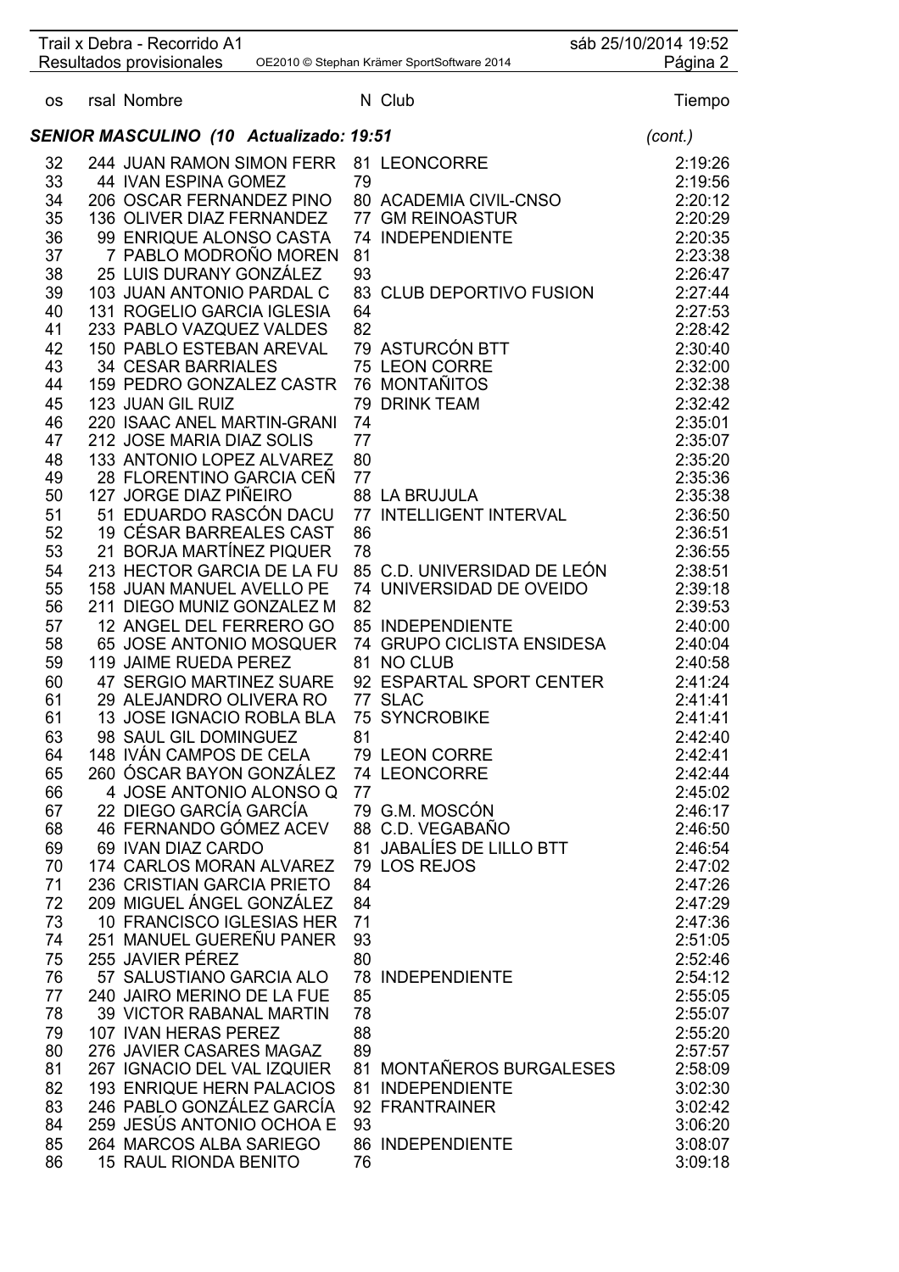|           | Trail x Debra - Recorrido A1                            |          |                                            | sáb 25/10/2014 19:52 |                    |
|-----------|---------------------------------------------------------|----------|--------------------------------------------|----------------------|--------------------|
|           | Resultados provisionales                                |          | OE2010 © Stephan Krämer SportSoftware 2014 |                      | Página 2           |
| <b>OS</b> | rsal Nombre                                             |          | N Club                                     |                      | Tiempo             |
|           | SENIOR MASCULINO (10 Actualizado: 19:51                 |          |                                            |                      | (cont.)            |
| 32        | 244 JUAN RAMON SIMON FERR                               |          | 81 LEONCORRE                               |                      | 2:19:26            |
| 33        | 44 IVAN ESPINA GOMEZ                                    | 79       |                                            |                      | 2:19:56            |
| 34        | 206 OSCAR FERNANDEZ PINO                                |          | 80 ACADEMIA CIVIL-CNSO                     |                      | 2:20:12            |
| 35        | 136 OLIVER DIAZ FERNANDEZ                               |          | 77 GM REINOASTUR                           |                      | 2:20:29            |
| 36        | 99 ENRIQUE ALONSO CASTA                                 |          | 74 INDEPENDIENTE                           |                      | 2:20:35            |
| 37        | 7 PABLO MODROÑO MOREN                                   | 81       |                                            |                      | 2:23:38            |
| 38        | 25 LUIS DURANY GONZÁLEZ                                 | 93       |                                            |                      | 2:26:47            |
| 39        | 103 JUAN ANTONIO PARDAL C                               |          | 83 CLUB DEPORTIVO FUSION                   |                      | 2:27:44            |
| 40        | 131 ROGELIO GARCIA IGLESIA                              | 64       |                                            |                      | 2:27:53            |
| 41        | 233 PABLO VAZQUEZ VALDES                                | 82       |                                            |                      | 2:28:42            |
| 42        | 150 PABLO ESTEBAN AREVAL                                |          | 79 ASTURCÓN BTT                            |                      | 2:30:40            |
| 43        | <b>34 CESAR BARRIALES</b>                               |          | 75 LEON CORRE                              |                      | 2:32:00            |
| 44        | 159 PEDRO GONZALEZ CASTR                                |          | 76 MONTAÑITOS                              |                      | 2:32:38            |
| 45        | 123 JUAN GIL RUIZ                                       | 79       | <b>DRINK TEAM</b>                          |                      | 2:32:42            |
| 46        | 220 ISAAC ANEL MARTIN-GRANI                             | 74       |                                            |                      | 2:35:01            |
| 47        | 212 JOSE MARIA DIAZ SOLIS                               | 77       |                                            |                      | 2:35:07            |
| 48        | 133 ANTONIO LOPEZ ALVAREZ                               | 80       |                                            |                      | 2:35:20            |
| 49        | 28 FLORENTINO GARCIA CEÑ                                | 77       |                                            |                      | 2:35:36            |
| 50        | 127 JORGE DIAZ PIÑEIRO                                  |          | <b>88 LA BRUJULA</b>                       |                      | 2:35:38            |
| 51        | 51 EDUARDO RASCÓN DACU                                  | 77       | <b>INTELLIGENT INTERVAL</b>                |                      | 2:36:50            |
| 52        | 19 CÉSAR BARREALES CAST                                 | 86       |                                            |                      | 2:36:51            |
| 53        | 21 BORJA MARTÍNEZ PIQUER                                | 78       |                                            |                      | 2:36:55            |
| 54        | 213 HECTOR GARCIA DE LA FU                              |          | 85 C.D. UNIVERSIDAD DE LEÓN                |                      | 2:38:51            |
| 55        | 158 JUAN MANUEL AVELLO PE                               |          | 74 UNIVERSIDAD DE OVEIDO                   |                      | 2:39:18            |
| 56        | 211 DIEGO MUNIZ GONZALEZ M                              | 82       |                                            |                      | 2:39:53            |
| 57        | 12 ANGEL DEL FERRERO GO                                 |          | 85 INDEPENDIENTE                           |                      | 2:40:00            |
| 58<br>59  | 65 JOSE ANTONIO MOSQUER<br>119 JAIME RUEDA PEREZ        |          | 74 GRUPO CICLISTA ENSIDESA<br>81 NO CLUB   |                      | 2:40:04<br>2:40:58 |
| 60        | 47 SERGIO MARTINEZ SUARE                                |          | 92 ESPARTAL SPORT CENTER                   |                      | 2:41:24            |
| 61        | 29 ALEJANDRO OLIVERA RO                                 |          | 77 SLAC                                    |                      | 2:41:41            |
| 61        | 13 JOSE IGNACIO ROBLA BLA 75 SYNCROBIKE                 |          |                                            |                      | 2:41:41            |
| 63        | 98 SAUL GIL DOMINGUEZ                                   | 81       |                                            |                      | 2:42:40            |
| 64        | 148 IVÁN CAMPOS DE CELA                                 |          | 79 LEON CORRE                              |                      | 2:42:41            |
| 65        | 260 ÓSCAR BAYON GONZÁLEZ                                |          | 74 LEONCORRE                               |                      | 2:42:44            |
| 66        | 4 JOSE ANTONIO ALONSO Q                                 | 77       |                                            |                      | 2:45:02            |
| 67        | 22 DIEGO GARCÍA GARCÍA                                  |          | 79 G.M. MOSCÓN                             |                      | 2:46:17            |
| 68        | 46 FERNANDO GÓMEZ ACEV                                  |          | 88 C.D. VEGABAÑO                           |                      | 2:46:50            |
| 69        | 69 IVAN DIAZ CARDO                                      |          | 81 JABALÍES DE LILLO BTT                   |                      | 2:46:54            |
| 70        | 174 CARLOS MORAN ALVAREZ                                |          | 79 LOS REJOS                               |                      | 2:47:02            |
| 71        | 236 CRISTIAN GARCIA PRIETO                              | 84       |                                            |                      | 2:47:26            |
| 72        | 209 MIGUEL ÁNGEL GONZÁLEZ                               | 84       |                                            |                      | 2:47:29            |
| 73        | 10 FRANCISCO IGLESIAS HER                               | 71       |                                            |                      | 2:47:36            |
| 74        | 251 MANUEL GUEREÑU PANER                                | 93       |                                            |                      | 2:51:05            |
| 75        | 255 JAVIER PÉREZ                                        | 80       |                                            |                      | 2:52:46            |
| 76        | 57 SALUSTIANO GARCIA ALO                                |          | <b>78 INDEPENDIENTE</b>                    |                      | 2:54:12            |
| 77        | 240 JAIRO MERINO DE LA FUE                              | 85       |                                            |                      | 2:55:05            |
| 78<br>79  | <b>39 VICTOR RABANAL MARTIN</b><br>107 IVAN HERAS PEREZ | 78<br>88 |                                            |                      | 2:55:07<br>2:55:20 |
| 80        | 276 JAVIER CASARES MAGAZ                                | 89       |                                            |                      | 2:57:57            |
| 81        | 267 IGNACIO DEL VAL IZQUIER                             |          | 81 MONTAÑEROS BURGALESES                   |                      | 2:58:09            |
| 82        | <b>193 ENRIQUE HERN PALACIOS</b>                        | 81       | <b>INDEPENDIENTE</b>                       |                      | 3:02:30            |
| 83        | 246 PABLO GONZÁLEZ GARCÍA                               |          | 92 FRANTRAINER                             |                      | 3:02:42            |
| 84        | 259 JESÚS ANTONIO OCHOA E                               | 93       |                                            |                      | 3:06:20            |
| 85        | 264 MARCOS ALBA SARIEGO                                 |          | 86 INDEPENDIENTE                           |                      | 3:08:07            |
| 86        | <b>15 RAUL RIONDA BENITO</b>                            | 76       |                                            |                      | 3:09:18            |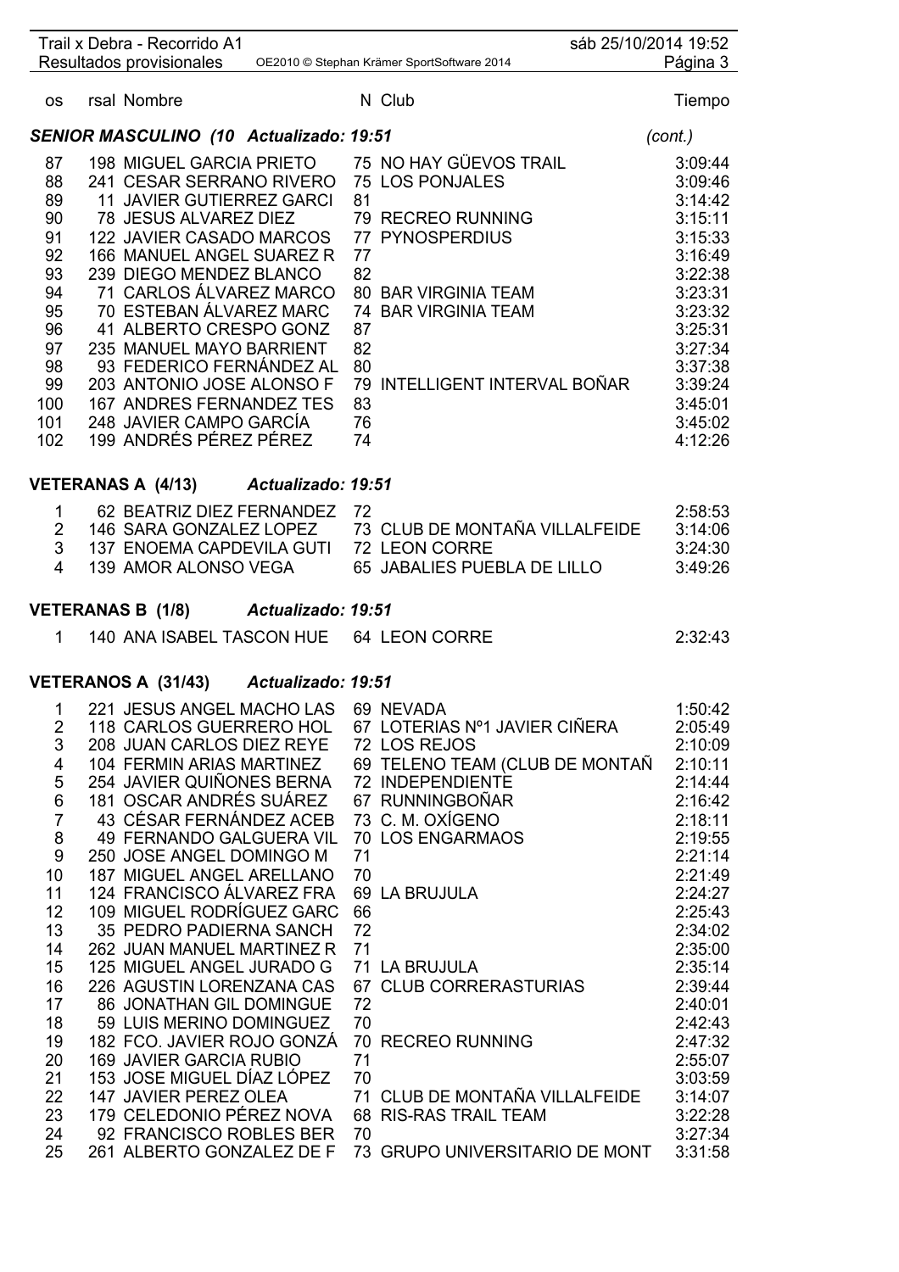|                     | Trail x Debra - Recorrido A1                            |    |                                            | sáb 25/10/2014 19:52 |
|---------------------|---------------------------------------------------------|----|--------------------------------------------|----------------------|
|                     | Resultados provisionales                                |    | OE2010 © Stephan Krämer SportSoftware 2014 | Página 3             |
| <b>OS</b>           | rsal Nombre                                             |    | N Club                                     | Tiempo               |
|                     | <b>SENIOR MASCULINO (10 Actualizado: 19:51</b>          |    |                                            | (cont.)              |
| 87                  | 198 MIGUEL GARCIA PRIETO                                |    | 75 NO HAY GÜEVOS TRAIL                     | 3:09:44              |
| 88                  | 241 CESAR SERRANO RIVERO                                |    | <b>75 LOS PONJALES</b>                     | 3:09:46              |
| 89                  | <b>11 JAVIER GUTIERREZ GARCI</b>                        | 81 |                                            | 3:14:42              |
| 90                  | 78 JESUS ALVAREZ DIEZ                                   |    | 79 RECREO RUNNING                          | 3:15:11              |
| 91                  | 122 JAVIER CASADO MARCOS                                |    | <b>77 PYNOSPERDIUS</b>                     | 3:15:33              |
| 92                  | 166 MANUEL ANGEL SUAREZ R                               | 77 |                                            | 3:16:49              |
| 93                  | 239 DIEGO MENDEZ BLANCO                                 | 82 |                                            | 3:22:38              |
| 94                  | 71 CARLOS ÁLVAREZ MARCO                                 |    | 80 BAR VIRGINIA TEAM                       | 3:23:31              |
| 95                  | 70 ESTEBAN ÁLVAREZ MARC                                 |    | 74 BAR VIRGINIA TEAM                       | 3:23:32              |
| 96                  | 41 ALBERTO CRESPO GONZ                                  | 87 |                                            | 3:25:31              |
| 97                  | 235 MANUEL MAYO BARRIENT                                | 82 |                                            | 3:27:34              |
| 98                  | 93 FEDERICO FERNÁNDEZ AL                                | 80 |                                            | 3:37:38              |
| 99                  | 203 ANTONIO JOSE ALONSO F                               |    | 79 INTELLIGENT INTERVAL BOÑAR              | 3:39:24              |
| 100                 | 167 ANDRES FERNANDEZ TES                                | 83 |                                            | 3:45:01              |
| 101                 | 248 JAVIER CAMPO GARCÍA                                 | 76 |                                            | 3:45:02              |
| 102                 | 199 ANDRÉS PÉREZ PÉREZ                                  | 74 |                                            | 4:12:26              |
|                     | VETERANAS A (4/13) Actualizado: 19:51                   |    |                                            |                      |
|                     |                                                         |    |                                            |                      |
| 1                   | 62 BEATRIZ DIEZ FERNANDEZ                               | 72 | 73 CLUB DE MONTAÑA VILLALFEIDE             | 2:58:53              |
| $\overline{2}$<br>3 | 146 SARA GONZALEZ LOPEZ<br>137 ENOEMA CAPDEVILA GUTI    |    | 72 LEON CORRE                              | 3:14:06<br>3:24:30   |
| 4                   | 139 AMOR ALONSO VEGA                                    |    | 65 JABALIES PUEBLA DE LILLO                | 3:49:26              |
|                     |                                                         |    |                                            |                      |
|                     | VETERANAS B (1/8) Actualizado: 19:51                    |    |                                            |                      |
| $1 \quad$           | 140 ANA ISABEL TASCON HUE 64 LEON CORRE                 |    |                                            | 2:32:43              |
|                     |                                                         |    |                                            |                      |
|                     | VETERANOS A (31/43) Actualizado: 19:51                  |    |                                            |                      |
|                     | 1 221 JESUS ANGEL MACHO LAS 69 NEVADA                   |    |                                            | 1:50:42              |
| 2                   | 118 CARLOS GUERRERO HOL                                 |    | 67 LOTERIAS Nº1 JAVIER CIÑERA              | 2:05:49              |
| 3                   | 208 JUAN CARLOS DIEZ REYE                               |    | 72 LOS REJOS                               | 2:10:09              |
| 4                   | 104 FERMIN ARIAS MARTINEZ                               |    | 69 TELENO TEAM (CLUB DE MONTAÑ             | 2:10:11              |
| 5                   | 254 JAVIER QUIÑONES BERNA                               |    | 72 INDEPENDIENTE                           | 2:14:44              |
| 6                   | 181 OSCAR ANDRÉS SUÁREZ                                 |    | 67 RUNNINGBOÑAR                            | 2:16:42              |
| $\overline{7}$      | 43 CÉSAR FERNÁNDEZ ACEB                                 |    | 73 C. M. OXÍGENO                           | 2:18:11              |
| 8                   | <b>49 FERNANDO GALGUERA VIL</b>                         |    | 70 LOS ENGARMAOS                           | 2:19:55              |
| 9                   | 250 JOSE ANGEL DOMINGO M                                | 71 |                                            | 2:21:14              |
| 10                  | <b>187 MIGUEL ANGEL ARELLANO</b>                        | 70 |                                            | 2:21:49              |
| 11                  | 124 FRANCISCO ÁLVAREZ FRA                               |    | 69 LA BRUJULA                              | 2:24:27              |
| 12                  | 109 MIGUEL RODRÍGUEZ GARC                               | 66 |                                            | 2:25:43              |
| 13                  | 35 PEDRO PADIERNA SANCH                                 | 72 |                                            | 2:34:02              |
| 14<br>15            | 262 JUAN MANUEL MARTINEZ R<br>125 MIGUEL ANGEL JURADO G | 71 | 71 LA BRUJULA                              | 2:35:00<br>2:35:14   |
| 16                  | 226 AGUSTIN LORENZANA CAS                               |    | 67 CLUB CORRERASTURIAS                     | 2:39:44              |
| 17                  | 86 JONATHAN GIL DOMINGUE                                | 72 |                                            | 2:40:01              |
| 18                  | 59 LUIS MERINO DOMINGUEZ                                | 70 |                                            | 2:42:43              |
| 19                  | 182 FCO. JAVIER ROJO GONZÁ                              |    | 70 RECREO RUNNING                          | 2:47:32              |
| 20                  | <b>169 JAVIER GARCIA RUBIO</b>                          | 71 |                                            | 2:55:07              |
| 21                  | 153 JOSE MIGUEL DÍAZ LÓPEZ                              | 70 |                                            | 3:03:59              |
| 22                  | 147 JAVIER PEREZ OLEA                                   |    | 71 CLUB DE MONTAÑA VILLALFEIDE             | 3:14:07              |
| 23                  | 179 CELEDONIO PÉREZ NOVA                                |    | 68 RIS-RAS TRAIL TEAM                      | 3:22:28              |
| 24                  | 92 FRANCISCO ROBLES BER                                 | 70 |                                            | 3:27:34              |
| 25                  | 261 ALBERTO GONZALEZ DE F                               |    | 73 GRUPO UNIVERSITARIO DE MONT             | 3:31:58              |